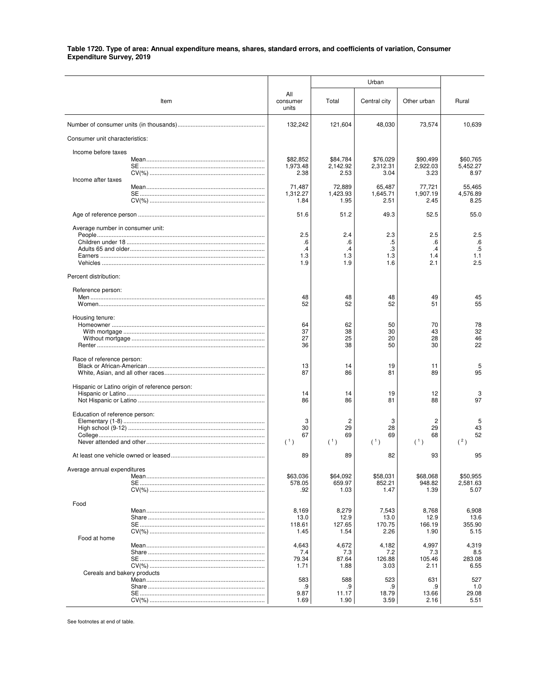|                                                |                                    |                               | Urban                         |                               |                               |
|------------------------------------------------|------------------------------------|-------------------------------|-------------------------------|-------------------------------|-------------------------------|
| Item                                           | All<br>consumer<br>units           | Total                         | Central city                  | Other urban                   | Rural                         |
|                                                | 132,242                            | 121,604                       | 48,030                        | 73,574                        | 10,639                        |
| Consumer unit characteristics:                 |                                    |                               |                               |                               |                               |
| Income before taxes                            |                                    |                               |                               |                               |                               |
| Income after taxes                             | \$82,852<br>1,973.48<br>2.38       | \$84,784<br>2.142.92<br>2.53  | \$76,029<br>2,312.31<br>3.04  | \$90,499<br>2.922.03<br>3.23  | \$60,765<br>5,452.27<br>8.97  |
|                                                | 71,487<br>1.312.27<br>1.84         | 72,889<br>1,423.93<br>1.95    | 65,487<br>1,645.71<br>2.51    | 77,721<br>1,907.19<br>2.45    | 55,465<br>4.576.89<br>8.25    |
|                                                | 51.6                               | 51.2                          | 49.3                          | 52.5                          | 55.0                          |
| Average number in consumer unit:               |                                    |                               |                               |                               |                               |
|                                                | 2.5<br>.6<br>$\cdot$<br>1.3<br>1.9 | 2.4<br>.6<br>.4<br>1.3<br>1.9 | 2.3<br>.5<br>.3<br>1.3<br>1.6 | 2.5<br>.6<br>.4<br>1.4<br>2.1 | 2.5<br>.6<br>.5<br>1.1<br>2.5 |
| Percent distribution:                          |                                    |                               |                               |                               |                               |
| Reference person:                              | 48<br>52                           | 48<br>52                      | 48<br>52                      | 49<br>51                      | 45<br>55                      |
| Housing tenure:                                |                                    |                               |                               |                               |                               |
|                                                | 64<br>37<br>27<br>36               | 62<br>38<br>25<br>38          | 50<br>30<br>20<br>50          | 70<br>43<br>28<br>30          | 78<br>32<br>46<br>22          |
| Race of reference person:                      | 13<br>87                           | 14<br>86                      | 19<br>81                      | 11<br>89                      | 5<br>95                       |
| Hispanic or Latino origin of reference person: | 14<br>86                           | 14<br>86                      | 19<br>81                      | 12<br>88                      | 3<br>97                       |
| Education of reference person:                 | 3<br>30<br>67<br>(1)               | 2<br>29<br>69<br>(1)          | 3<br>28<br>69<br>(1)          | 2<br>29<br>68<br>(1)          | 5<br>43<br>52<br>(2)          |
| At least one vehicle owned or leased           | 89                                 | 89                            | 82                            | 93                            | 95                            |
| Average annual expenditures                    | \$63,036<br>578.05<br>.92          | \$64,092<br>659.97<br>1.03    | \$58,031<br>852.21<br>1.47    | \$68,068<br>948.82<br>1.39    | \$50,955<br>2,581.63<br>5.07  |
| Food                                           | 8,169                              | 8,279                         | 7,543                         | 8,768                         | 6,908                         |
|                                                | 13.0<br>118.61<br>1.45             | 12.9<br>127.65<br>1.54        | 13.0<br>170.75<br>2.26        | 12.9<br>166.19<br>1.90        | 13.6<br>355.90<br>5.15        |
| Food at home                                   | 4,643                              | 4,672                         | 4,182                         | 4,997                         | 4,319                         |
| <b>SE</b> ………………………………………………………………             | 7.4<br>79.34<br>1.71               | 7.3<br>87.64<br>1.88          | 7.2<br>126.88<br>3.03         | 7.3<br>105.46<br>2.11         | 8.5<br>283.08<br>6.55         |
| Cereals and bakery products                    | 583<br>.9<br>9.87<br>1.69          | 588<br>.9<br>11.17<br>1.90    | 523<br>.9<br>18.79<br>3.59    | 631<br>.9<br>13.66<br>2.16    | 527<br>1.0<br>29.08<br>5.51   |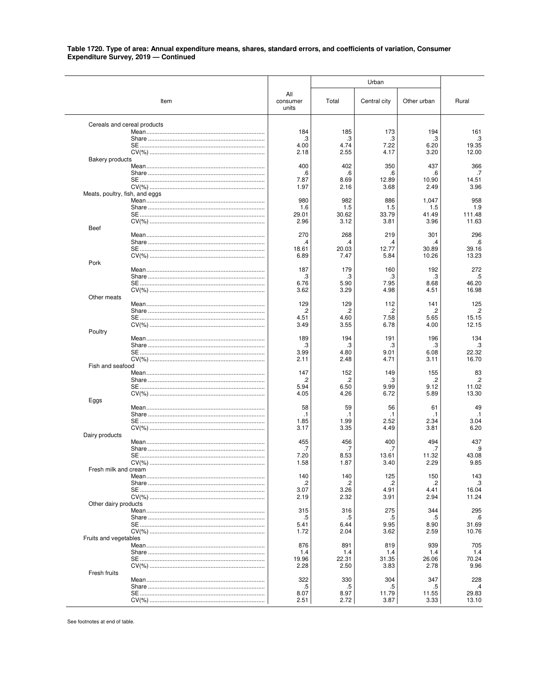|                                |      |                          |               | Urban         |                |                |
|--------------------------------|------|--------------------------|---------------|---------------|----------------|----------------|
|                                | Item | All<br>consumer<br>units | Total         | Central city  | Other urban    | Rural          |
| Cereals and cereal products    |      |                          |               |               |                |                |
|                                |      | 184<br>.3                | 185<br>.3     | 173<br>.3     | 194<br>.3      | 161<br>.3      |
|                                |      | 4.00                     | 4.74          | 7.22          | 6.20           | 19.35          |
|                                |      | 2.18                     | 2.55          | 4.17          | 3.20           | 12.00          |
| <b>Bakery products</b>         |      | 400                      | 402           | 350           | 437            | 366            |
|                                |      | .6                       | .6            | .6            | .6             | .7             |
|                                |      | 7.87                     | 8.69          | 12.89         | 10.90          | 14.51          |
|                                |      | 1.97                     | 2.16          | 3.68          | 2.49           | 3.96           |
| Meats, poultry, fish, and eggs |      | 980                      | 982           | 886           | 1,047          | 958            |
|                                |      | 1.6                      | 1.5           | 1.5           | 1.5            | 1.9            |
|                                |      | 29.01                    | 30.62         | 33.79         | 41.49          | 111.48         |
| Beef                           |      | 2.96                     | 3.12          | 3.81          | 3.96           | 11.63          |
|                                |      | 270                      | 268           | 219           | 301            | 296            |
|                                |      | .4                       | .4            | .4            | .4             | .6             |
|                                |      | 18.61<br>6.89            | 20.03<br>7.47 | 12.77<br>5.84 | 30.89<br>10.26 | 39.16<br>13.23 |
| Pork                           |      |                          |               |               |                |                |
|                                |      | 187                      | 179           | 160           | 192            | 272            |
|                                |      | .3                       | .3            | .3            | .3             | .5             |
|                                |      | 6.76<br>3.62             | 5.90<br>3.29  | 7.95<br>4.98  | 8.68<br>4.51   | 46.20<br>16.98 |
| Other meats                    |      |                          |               |               |                |                |
|                                |      | 129                      | 129           | 112           | 141            | 125            |
|                                |      | .2<br>4.51               | .2<br>4.60    | .2<br>7.58    | .2<br>5.65     | .2<br>15.15    |
|                                |      | 3.49                     | 3.55          | 6.78          | 4.00           | 12.15          |
| Poultry                        |      |                          |               |               |                |                |
|                                |      | 189                      | 194           | 191           | 196            | 134<br>.3      |
|                                |      | .3<br>3.99               | .3<br>4.80    | .3<br>9.01    | .3<br>6.08     | 22.32          |
|                                |      | 2.11                     | 2.48          | 4.71          | 3.11           | 16.70          |
| Fish and seafood               |      |                          |               |               |                |                |
|                                |      | 147<br>.2                | 152<br>.2     | 149<br>.3     | 155<br>.2      | 83<br>$\cdot$  |
|                                |      | 5.94                     | 6.50          | 9.99          | 9.12           | 11.02          |
|                                |      | 4.05                     | 4.26          | 6.72          | 5.89           | 13.30          |
| Eggs                           |      | 58                       | 59            | 56            | 61             | 49             |
|                                |      | $\cdot$ 1                | .1            | $\cdot$ 1     | .1             | $\cdot$ 1      |
|                                |      | 1.85                     | 1.99          | 2.52          | 2.34           | 3.04           |
| Dairy products                 |      | 3.17                     | 3.35          | 4.49          | 3.81           | 6.20           |
|                                |      | 455                      | 456           | 400           | 494            | 437            |
|                                |      | .7                       | .7            | .7            | .7             | .9             |
|                                |      | 7.20<br>1.58             | 8.53<br>1.87  | 13.61<br>3.40 | 11.32<br>2.29  | 43.08<br>9.85  |
| Fresh milk and cream           |      |                          |               |               |                |                |
|                                |      | 140                      | 140           | 125           | 150            | 143            |
|                                |      | .2<br>3.07               | .2<br>3.26    | .2<br>4.91    | .2<br>4.41     | .3<br>16.04    |
|                                |      | 2.19                     | 2.32          | 3.91          | 2.94           | 11.24          |
| Other dairy products           |      |                          |               |               |                |                |
|                                |      | 315<br>.5                | 316<br>.5     | 275<br>.5     | 344<br>.5      | 295<br>.6      |
|                                |      | 5.41                     | 6.44          | 9.95          | 8.90           | 31.69          |
|                                |      | 1.72                     | 2.04          | 3.62          | 2.59           | 10.76          |
| Fruits and vegetables          |      | 876                      | 891           | 819           | 939            | 705            |
|                                |      | 1.4                      | 1.4           | 1.4           | 1.4            | 1.4            |
|                                |      | 19.96                    | 22.31         | 31.35         | 26.06          | 70.24          |
|                                |      | 2.28                     | 2.50          | 3.83          | 2.78           | 9.96           |
| Fresh fruits                   |      | 322                      | 330           | 304           | 347            | 228            |
|                                |      | .5                       | .5            | .5            | .5             | $\cdot$        |
|                                |      | 8.07                     | 8.97          | 11.79         | 11.55          | 29.83          |
|                                |      | 2.51                     | 2.72          | 3.87          | 3.33           | 13.10          |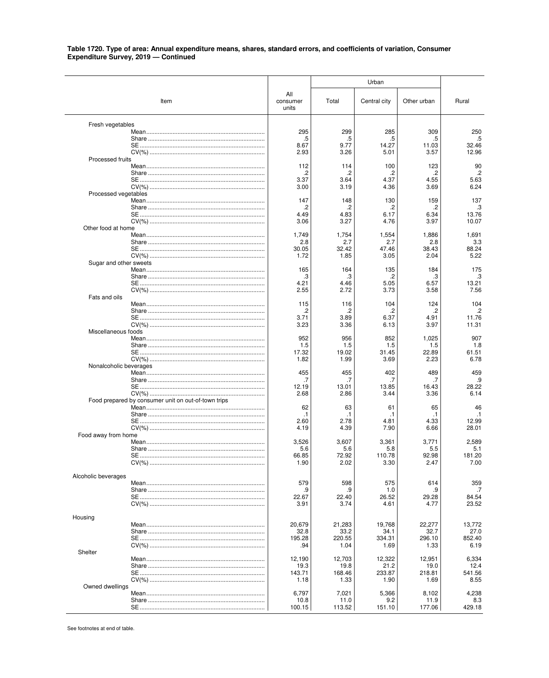|                        |                                                     |                          |                | Urban          |                |                 |
|------------------------|-----------------------------------------------------|--------------------------|----------------|----------------|----------------|-----------------|
|                        | Item                                                | All<br>consumer<br>units | Total          | Central city   | Other urban    | Rural           |
| Fresh vegetables       |                                                     |                          |                |                |                |                 |
|                        |                                                     | 295<br>.5                | 299<br>.5      | 285<br>.5      | 309<br>.5      | 250<br>.5       |
|                        |                                                     | 8.67                     | 9.77           | 14.27          | 11.03          | 32.46           |
|                        |                                                     | 2.93                     | 3.26           | 5.01           | 3.57           | 12.96           |
| Processed fruits       |                                                     | 112                      | 114            | 100            | 123            | 90              |
|                        |                                                     | .2                       | .2             | .2             | .2             | $.2\phantom{0}$ |
|                        |                                                     | 3.37<br>3.00             | 3.64<br>3.19   | 4.37<br>4.36   | 4.55<br>3.69   | 5.63<br>6.24    |
| Processed vegetables   |                                                     |                          |                |                |                |                 |
|                        |                                                     | 147<br>.2                | 148<br>.2      | 130<br>.2      | 159<br>.2      | 137<br>.3       |
|                        |                                                     | 4.49                     | 4.83           | 6.17           | 6.34           | 13.76           |
| Other food at home     |                                                     | 3.06                     | 3.27           | 4.76           | 3.97           | 10.07           |
|                        |                                                     | 1,749                    | 1,754          | 1,554          | 1,886          | 1,691           |
|                        |                                                     | 2.8                      | 2.7            | 2.7            | 2.8            | 3.3             |
|                        |                                                     | 30.05<br>1.72            | 32.42<br>1.85  | 47.46<br>3.05  | 38.43<br>2.04  | 88.24<br>5.22   |
| Sugar and other sweets |                                                     |                          |                |                |                |                 |
|                        |                                                     | 165<br>.3                | 164<br>.3      | 135<br>.2      | 184<br>.3      | 175<br>.3       |
|                        |                                                     | 4.21                     | 4.46           | 5.05           | 6.57           | 13.21           |
| Fats and oils          |                                                     | 2.55                     | 2.72           | 3.73           | 3.58           | 7.56            |
|                        |                                                     | 115                      | 116            | 104            | 124            | 104             |
|                        |                                                     | .2<br>3.71               | .2<br>3.89     | .2<br>6.37     | .2<br>4.91     | .2<br>11.76     |
|                        |                                                     | 3.23                     | 3.36           | 6.13           | 3.97           | 11.31           |
| Miscellaneous foods    |                                                     | 952                      | 956            | 852            | 1,025          | 907             |
|                        |                                                     | 1.5                      | 1.5            | 1.5            | 1.5            | 1.8             |
|                        |                                                     | 17.32                    | 19.02          | 31.45          | 22.89          | 61.51           |
| Nonalcoholic beverages |                                                     | 1.82                     | 1.99           | 3.69           | 2.23           | 6.78            |
|                        |                                                     | 455                      | 455            | 402            | 489            | 459             |
|                        |                                                     | .7<br>12.19              | .7<br>13.01    | .7<br>13.85    | .7<br>16.43    | .9<br>28.22     |
|                        |                                                     | 2.68                     | 2.86           | 3.44           | 3.36           | 6.14            |
|                        | Food prepared by consumer unit on out-of-town trips | 62                       | 63             | 61             | 65             | 46              |
|                        |                                                     | $\cdot$ 1                | $\cdot$ 1      | .1             | .1             | $\cdot$ 1       |
|                        |                                                     | 2.60<br>4.19             | 2.78<br>4.39   | 4.81<br>7.90   | 4.33<br>6.66   | 12.99<br>28.01  |
| Food away from home    |                                                     |                          |                |                |                |                 |
|                        |                                                     | 3,526<br>5.6             | 3,607<br>5.6   | 3,361<br>5.8   | 3,771<br>5.5   | 2,589<br>5.1    |
|                        |                                                     | 66.85                    | 72.92          | 110.78         | 92.98          | 181.20          |
|                        |                                                     | 1.90                     | 2.02           | 3.30           | 2.47           | 7.00            |
| Alcoholic beverages    |                                                     |                          |                |                |                |                 |
|                        |                                                     | 579                      | 598<br>.9      | 575            | 614            | 359             |
|                        |                                                     | .9<br>22.67              | 22.40          | 1.0<br>26.52   | .9<br>29.28    | .7<br>84.54     |
|                        |                                                     | 3.91                     | 3.74           | 4.61           | 4.77           | 23.52           |
| Housing                |                                                     |                          |                |                |                |                 |
|                        |                                                     | 20,679                   | 21,283         | 19,768         | 22,277         | 13,772          |
|                        |                                                     | 32.8<br>195.28           | 33.2<br>220.55 | 34.1<br>334.31 | 32.7<br>296.10 | 27.0<br>852.40  |
|                        |                                                     | .94                      | 1.04           | 1.69           | 1.33           | 6.19            |
| Shelter                |                                                     | 12,190                   | 12,703         | 12,322         | 12,951         | 6,334           |
|                        |                                                     | 19.3                     | 19.8           | 21.2           | 19.0           | 12.4            |
|                        |                                                     | 143.71<br>1.18           | 168.46<br>1.33 | 233.87<br>1.90 | 218.81<br>1.69 | 541.56<br>8.55  |
| Owned dwellings        |                                                     |                          |                |                |                |                 |
|                        |                                                     | 6,797                    | 7,021          | 5,366<br>9.2   | 8,102          | 4,238           |
|                        |                                                     | 10.8<br>100.15           | 11.0<br>113.52 | 151.10         | 11.9<br>177.06 | 8.3<br>429.18   |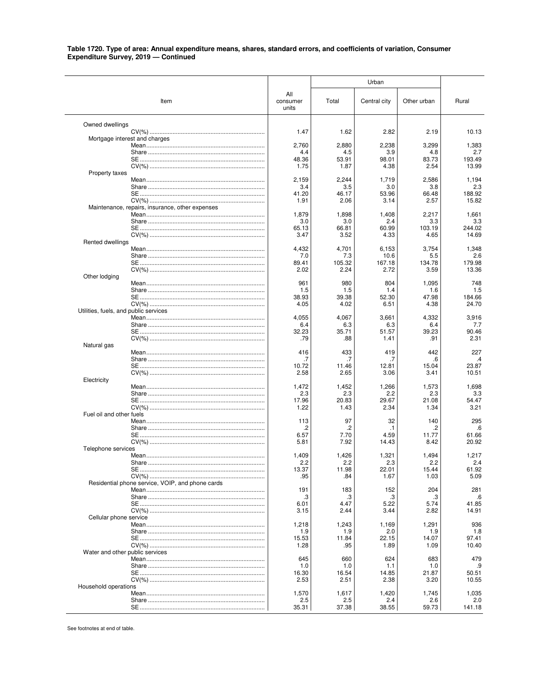|                                       |                                                  |                          |                  | Urban          |                |                 |
|---------------------------------------|--------------------------------------------------|--------------------------|------------------|----------------|----------------|-----------------|
|                                       | Item                                             | All<br>consumer<br>units | Total            | Central city   | Other urban    | Rural           |
| Owned dwellings                       |                                                  |                          |                  |                |                |                 |
| Mortgage interest and charges         |                                                  | 1.47                     | 1.62             | 2.82           | 2.19           | 10.13           |
|                                       |                                                  | 2,760                    | 2,880            | 2,238          | 3,299          | 1,383           |
|                                       |                                                  | 4.4                      | 4.5              | 3.9            | 4.8            | 2.7             |
|                                       |                                                  | 48.36<br>1.75            | 53.91<br>1.87    | 98.01<br>4.38  | 83.73<br>2.54  | 193.49<br>13.99 |
| Property taxes                        |                                                  |                          |                  |                |                |                 |
|                                       |                                                  | 2,159<br>3.4             | 2,244<br>3.5     | 1,719<br>3.0   | 2,586<br>3.8   | 1,194<br>2.3    |
|                                       |                                                  | 41.20                    | 46.17            | 53.96          | 66.48          | 188.92          |
|                                       |                                                  | 1.91                     | 2.06             | 3.14           | 2.57           | 15.82           |
|                                       | Maintenance, repairs, insurance, other expenses  | 1,879                    | 1,898            | 1,408          | 2,217          | 1,661           |
|                                       |                                                  | 3.0                      | 3.0              | 2.4            | 3.3            | 3.3             |
|                                       |                                                  | 65.13<br>3.47            | 66.81<br>3.52    | 60.99<br>4.33  | 103.19<br>4.65 | 244.02<br>14.69 |
| Rented dwellings                      |                                                  |                          |                  |                |                |                 |
|                                       |                                                  | 4,432                    | 4,701            | 6,153          | 3,754          | 1,348           |
|                                       |                                                  | 7.0<br>89.41             | 7.3<br>105.32    | 10.6<br>167.18 | 5.5<br>134.78  | 2.6<br>179.98   |
|                                       |                                                  | 2.02                     | 2.24             | 2.72           | 3.59           | 13.36           |
| Other lodging                         |                                                  |                          |                  |                |                |                 |
|                                       |                                                  | 961<br>1.5               | 980<br>1.5       | 804<br>1.4     | 1,095<br>1.6   | 748<br>1.5      |
|                                       |                                                  | 38.93                    | 39.38            | 52.30          | 47.98          | 184.66          |
| Utilities, fuels, and public services |                                                  | 4.05                     | 4.02             | 6.51           | 4.38           | 24.70           |
|                                       |                                                  | 4,055                    | 4,067            | 3,661          | 4,332          | 3,916           |
|                                       |                                                  | 6.4                      | 6.3              | 6.3            | 6.4            | 7.7             |
|                                       |                                                  | 32.23<br>.79             | 35.71<br>.88     | 51.57<br>1.41  | 39.23<br>.91   | 90.46<br>2.31   |
| Natural gas                           |                                                  |                          |                  |                |                |                 |
|                                       |                                                  | 416<br>.7                | 433<br>.7        | 419<br>.7      | 442<br>.6      | 227<br>$\cdot$  |
|                                       |                                                  | 10.72                    | 11.46            | 12.81          | 15.04          | 23.87           |
|                                       |                                                  | 2.58                     | 2.65             | 3.06           | 3.41           | 10.51           |
| Electricity                           |                                                  | 1,472                    | 1,452            | 1,266          | 1,573          | 1,698           |
|                                       |                                                  | 2.3                      | 2.3              | 2.2            | 2.3            | 3.3             |
|                                       |                                                  | 17.96<br>1.22            | 20.83<br>1.43    | 29.67<br>2.34  | 21.08<br>1.34  | 54.47<br>3.21   |
| Fuel oil and other fuels              |                                                  |                          |                  |                |                |                 |
|                                       |                                                  | 113                      | 97               | 32             | 140            | 295             |
|                                       |                                                  | .2<br>6.57               | .2<br>7.70       | .1<br>4.59     | .2<br>11.77    | .6<br>61.66     |
|                                       |                                                  | 5.81                     | 7.92             | 14.43          | 8.42           | 20.92           |
| Telephone services                    |                                                  | 1,409                    | 1,426            | 1,321          | 1,494          | 1,217           |
|                                       |                                                  | 2.2                      | 2.2              | 2.3            | 2.2            | 2.4             |
|                                       |                                                  | 13.37                    | 11.98            | 22.01          | 15.44          | 61.92<br>5.09   |
|                                       | Residential phone service, VOIP, and phone cards | .95                      | .84              | 1.67           | 1.03           |                 |
|                                       |                                                  | 191                      | 183              | 152            | 204            | 281             |
|                                       |                                                  | .3<br>6.01               | .3<br>4.47       | .3<br>5.22     | .3<br>5.74     | .6<br>41.85     |
|                                       |                                                  | 3.15                     | 2.44             | 3.44           | 2.82           | 14.91           |
| Cellular phone service                |                                                  |                          |                  |                |                |                 |
|                                       |                                                  | 1,218<br>1.9             | 1,243<br>1.9     | 1,169<br>2.0   | 1,291<br>1.9   | 936<br>1.8      |
|                                       |                                                  | 15.53                    | 11.84            | 22.15          | 14.07          | 97.41           |
| Water and other public services       |                                                  | 1.28                     | .95              | 1.89           | 1.09           | 10.40           |
|                                       |                                                  | 645                      | 660              | 624            | 683            | 479             |
|                                       |                                                  | 1.0                      | 1.0              | 1.1            | 1.0            | .9              |
|                                       |                                                  | 16.30<br>2.53            | 16.54<br>2.51    | 14.85<br>2.38  | 21.87<br>3.20  | 50.51<br>10.55  |
| Household operations                  |                                                  |                          |                  |                |                |                 |
|                                       |                                                  | 1,570<br>2.5             | 1,617<br>$2.5\,$ | 1,420<br>2.4   | 1,745<br>2.6   | 1,035<br>2.0    |
|                                       |                                                  | 35.31                    | 37.38            | 38.55          | 59.73          | 141.18          |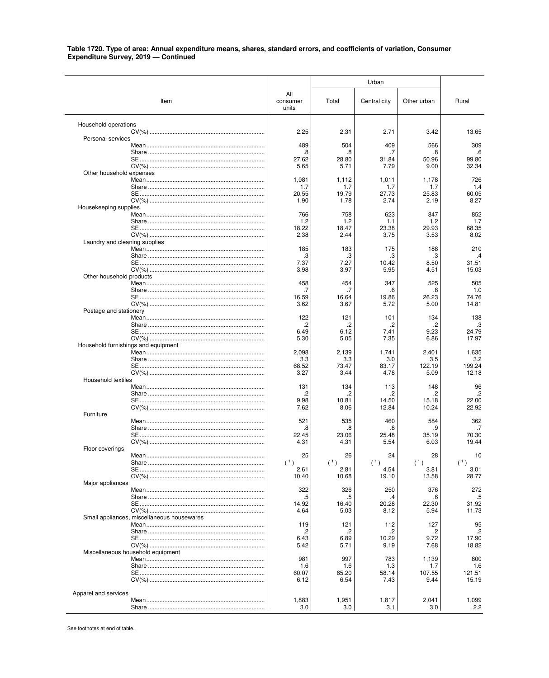| All<br>Item<br>consumer<br>Total<br>Central city<br>Other urban<br>Rural<br>units<br>Household operations<br>2.25<br>2.71<br>13.65<br>2.31<br>3.42<br>Personal services<br>489<br>504<br>409<br>566<br>309<br>.8<br>.6<br>.8<br>.7<br>.8<br>27.62<br>28.80<br>31.84<br>50.96<br>99.80<br>5.65<br>5.71<br>9.00<br>32.34<br>7.79<br>Other household expenses<br>1,081<br>1,112<br>1,011<br>1,178<br>726<br>1.4<br>1.7<br>1.7<br>1.7<br>1.7<br>20.55<br>19.79<br>27.73<br>25.83<br>60.05<br>1.90<br>1.78<br>2.74<br>2.19<br>8.27<br>Housekeeping supplies<br>766<br>623<br>847<br>852<br>758<br>1.2<br>1.2<br>1.2<br>1.7<br>1.1<br>29.93<br>68.35<br>18.22<br>18.47<br>23.38<br>2.38<br>2.44<br>3.75<br>3.53<br>8.02<br>Laundry and cleaning supplies<br>185<br>183<br>188<br>210<br>175<br>.3<br>.3<br>.3<br>.4<br>.3<br>7.37<br>7.27<br>31.51<br>10.42<br>8.50<br>3.98<br>5.95<br>15.03<br>3.97<br>4.51<br>Other household products<br>458<br>454<br>347<br>525<br>505<br>.7<br>1.0<br>.7<br>.6<br>8.<br>16.59<br>16.64<br>19.86<br>26.23<br>74.76<br>3.62<br>3.67<br>5.72<br>14.81<br>5.00<br>Postage and stationery<br>122<br>138<br>121<br>101<br>134<br>.2<br>.3<br>.2<br>.2<br>.2<br>6.49<br>6.12<br>7.41<br>9.23<br>24.79<br>17.97<br>5.30<br>5.05<br>7.35<br>6.86<br>Household furnishings and equipment<br>2,098<br>2,139<br>1,741<br>2,401<br>1,635<br>3.3<br>3.3<br>3.5<br>3.2<br>3.0<br>68.52<br>122.19<br>199.24<br>73.47<br>83.17<br>3.27<br>3.44<br>4.78<br>5.09<br>12.18<br>Household textiles<br>131<br>96<br>134<br>113<br>148<br>$\cdot$<br>.2<br>.2<br>$\overline{c}$<br>2.<br>9.98<br>22.00<br>10.81<br>14.50<br>15.18<br>22.92<br>7.62<br>12.84<br>10.24<br>8.06<br>Furniture<br>521<br>584<br>362<br>535<br>460<br>.8<br>.8<br>.9<br>.7<br>8.<br>70.30<br>22.45<br>23.06<br>25.48<br>35.19<br>5.54<br>19.44<br>4.31<br>4.31<br>6.03<br>Floor coverings<br>25<br>26<br>28<br>24<br>10<br>(1)<br>(1)<br>(1)<br>(1)<br>(1)<br>2.61<br>2.81<br>4.54<br>3.81<br>3.01<br>19.10<br>10.40<br>10.68<br>13.58<br>28.77<br>Major appliances<br>322<br>326<br>250<br>376<br>272<br>.5<br>.5<br>.5<br>.4<br>.6<br>14.92<br>16.40<br>20.28<br>22.30<br>31.92<br>11.73<br>4.64<br>5.03<br>8.12<br>5.94<br>Small appliances, miscellaneous housewares<br>119<br>95<br>121<br>112<br>127<br>.2<br>.2<br>.2<br>.2<br>.2<br>6.43<br>6.89<br>10.29<br>9.72<br>17.90<br>5.42<br>5.71<br>9.19<br>7.68<br>18.82<br>Miscellaneous household equipment<br>981<br>997<br>783<br>1,139<br>800<br>1.6<br>1.6<br>1.6<br>1.3<br>1.7<br>58.14<br>107.55<br>60.07<br>65.20<br>121.51<br>6.12<br>6.54<br>7.43<br>9.44<br>15.19<br>Apparel and services<br>1,883<br>1,951<br>2,041<br>1,817<br>1,099 |     |     | Urban |     |     |
|-----------------------------------------------------------------------------------------------------------------------------------------------------------------------------------------------------------------------------------------------------------------------------------------------------------------------------------------------------------------------------------------------------------------------------------------------------------------------------------------------------------------------------------------------------------------------------------------------------------------------------------------------------------------------------------------------------------------------------------------------------------------------------------------------------------------------------------------------------------------------------------------------------------------------------------------------------------------------------------------------------------------------------------------------------------------------------------------------------------------------------------------------------------------------------------------------------------------------------------------------------------------------------------------------------------------------------------------------------------------------------------------------------------------------------------------------------------------------------------------------------------------------------------------------------------------------------------------------------------------------------------------------------------------------------------------------------------------------------------------------------------------------------------------------------------------------------------------------------------------------------------------------------------------------------------------------------------------------------------------------------------------------------------------------------------------------------------------------------------------------------------------------------------------------------------------------------------------------------------------------------------------------------------------------------------------------------------------------------------------------------------------------------------------------------------------------------------------------------------------------------------------------------------------------------------------------------------------------------------------------------------------------------------------------------------------|-----|-----|-------|-----|-----|
|                                                                                                                                                                                                                                                                                                                                                                                                                                                                                                                                                                                                                                                                                                                                                                                                                                                                                                                                                                                                                                                                                                                                                                                                                                                                                                                                                                                                                                                                                                                                                                                                                                                                                                                                                                                                                                                                                                                                                                                                                                                                                                                                                                                                                                                                                                                                                                                                                                                                                                                                                                                                                                                                                         |     |     |       |     |     |
|                                                                                                                                                                                                                                                                                                                                                                                                                                                                                                                                                                                                                                                                                                                                                                                                                                                                                                                                                                                                                                                                                                                                                                                                                                                                                                                                                                                                                                                                                                                                                                                                                                                                                                                                                                                                                                                                                                                                                                                                                                                                                                                                                                                                                                                                                                                                                                                                                                                                                                                                                                                                                                                                                         |     |     |       |     |     |
|                                                                                                                                                                                                                                                                                                                                                                                                                                                                                                                                                                                                                                                                                                                                                                                                                                                                                                                                                                                                                                                                                                                                                                                                                                                                                                                                                                                                                                                                                                                                                                                                                                                                                                                                                                                                                                                                                                                                                                                                                                                                                                                                                                                                                                                                                                                                                                                                                                                                                                                                                                                                                                                                                         |     |     |       |     |     |
|                                                                                                                                                                                                                                                                                                                                                                                                                                                                                                                                                                                                                                                                                                                                                                                                                                                                                                                                                                                                                                                                                                                                                                                                                                                                                                                                                                                                                                                                                                                                                                                                                                                                                                                                                                                                                                                                                                                                                                                                                                                                                                                                                                                                                                                                                                                                                                                                                                                                                                                                                                                                                                                                                         |     |     |       |     |     |
|                                                                                                                                                                                                                                                                                                                                                                                                                                                                                                                                                                                                                                                                                                                                                                                                                                                                                                                                                                                                                                                                                                                                                                                                                                                                                                                                                                                                                                                                                                                                                                                                                                                                                                                                                                                                                                                                                                                                                                                                                                                                                                                                                                                                                                                                                                                                                                                                                                                                                                                                                                                                                                                                                         |     |     |       |     |     |
|                                                                                                                                                                                                                                                                                                                                                                                                                                                                                                                                                                                                                                                                                                                                                                                                                                                                                                                                                                                                                                                                                                                                                                                                                                                                                                                                                                                                                                                                                                                                                                                                                                                                                                                                                                                                                                                                                                                                                                                                                                                                                                                                                                                                                                                                                                                                                                                                                                                                                                                                                                                                                                                                                         |     |     |       |     |     |
|                                                                                                                                                                                                                                                                                                                                                                                                                                                                                                                                                                                                                                                                                                                                                                                                                                                                                                                                                                                                                                                                                                                                                                                                                                                                                                                                                                                                                                                                                                                                                                                                                                                                                                                                                                                                                                                                                                                                                                                                                                                                                                                                                                                                                                                                                                                                                                                                                                                                                                                                                                                                                                                                                         |     |     |       |     |     |
|                                                                                                                                                                                                                                                                                                                                                                                                                                                                                                                                                                                                                                                                                                                                                                                                                                                                                                                                                                                                                                                                                                                                                                                                                                                                                                                                                                                                                                                                                                                                                                                                                                                                                                                                                                                                                                                                                                                                                                                                                                                                                                                                                                                                                                                                                                                                                                                                                                                                                                                                                                                                                                                                                         |     |     |       |     |     |
|                                                                                                                                                                                                                                                                                                                                                                                                                                                                                                                                                                                                                                                                                                                                                                                                                                                                                                                                                                                                                                                                                                                                                                                                                                                                                                                                                                                                                                                                                                                                                                                                                                                                                                                                                                                                                                                                                                                                                                                                                                                                                                                                                                                                                                                                                                                                                                                                                                                                                                                                                                                                                                                                                         |     |     |       |     |     |
|                                                                                                                                                                                                                                                                                                                                                                                                                                                                                                                                                                                                                                                                                                                                                                                                                                                                                                                                                                                                                                                                                                                                                                                                                                                                                                                                                                                                                                                                                                                                                                                                                                                                                                                                                                                                                                                                                                                                                                                                                                                                                                                                                                                                                                                                                                                                                                                                                                                                                                                                                                                                                                                                                         |     |     |       |     |     |
|                                                                                                                                                                                                                                                                                                                                                                                                                                                                                                                                                                                                                                                                                                                                                                                                                                                                                                                                                                                                                                                                                                                                                                                                                                                                                                                                                                                                                                                                                                                                                                                                                                                                                                                                                                                                                                                                                                                                                                                                                                                                                                                                                                                                                                                                                                                                                                                                                                                                                                                                                                                                                                                                                         |     |     |       |     |     |
|                                                                                                                                                                                                                                                                                                                                                                                                                                                                                                                                                                                                                                                                                                                                                                                                                                                                                                                                                                                                                                                                                                                                                                                                                                                                                                                                                                                                                                                                                                                                                                                                                                                                                                                                                                                                                                                                                                                                                                                                                                                                                                                                                                                                                                                                                                                                                                                                                                                                                                                                                                                                                                                                                         |     |     |       |     |     |
|                                                                                                                                                                                                                                                                                                                                                                                                                                                                                                                                                                                                                                                                                                                                                                                                                                                                                                                                                                                                                                                                                                                                                                                                                                                                                                                                                                                                                                                                                                                                                                                                                                                                                                                                                                                                                                                                                                                                                                                                                                                                                                                                                                                                                                                                                                                                                                                                                                                                                                                                                                                                                                                                                         |     |     |       |     |     |
|                                                                                                                                                                                                                                                                                                                                                                                                                                                                                                                                                                                                                                                                                                                                                                                                                                                                                                                                                                                                                                                                                                                                                                                                                                                                                                                                                                                                                                                                                                                                                                                                                                                                                                                                                                                                                                                                                                                                                                                                                                                                                                                                                                                                                                                                                                                                                                                                                                                                                                                                                                                                                                                                                         |     |     |       |     |     |
|                                                                                                                                                                                                                                                                                                                                                                                                                                                                                                                                                                                                                                                                                                                                                                                                                                                                                                                                                                                                                                                                                                                                                                                                                                                                                                                                                                                                                                                                                                                                                                                                                                                                                                                                                                                                                                                                                                                                                                                                                                                                                                                                                                                                                                                                                                                                                                                                                                                                                                                                                                                                                                                                                         |     |     |       |     |     |
|                                                                                                                                                                                                                                                                                                                                                                                                                                                                                                                                                                                                                                                                                                                                                                                                                                                                                                                                                                                                                                                                                                                                                                                                                                                                                                                                                                                                                                                                                                                                                                                                                                                                                                                                                                                                                                                                                                                                                                                                                                                                                                                                                                                                                                                                                                                                                                                                                                                                                                                                                                                                                                                                                         |     |     |       |     |     |
|                                                                                                                                                                                                                                                                                                                                                                                                                                                                                                                                                                                                                                                                                                                                                                                                                                                                                                                                                                                                                                                                                                                                                                                                                                                                                                                                                                                                                                                                                                                                                                                                                                                                                                                                                                                                                                                                                                                                                                                                                                                                                                                                                                                                                                                                                                                                                                                                                                                                                                                                                                                                                                                                                         |     |     |       |     |     |
|                                                                                                                                                                                                                                                                                                                                                                                                                                                                                                                                                                                                                                                                                                                                                                                                                                                                                                                                                                                                                                                                                                                                                                                                                                                                                                                                                                                                                                                                                                                                                                                                                                                                                                                                                                                                                                                                                                                                                                                                                                                                                                                                                                                                                                                                                                                                                                                                                                                                                                                                                                                                                                                                                         |     |     |       |     |     |
|                                                                                                                                                                                                                                                                                                                                                                                                                                                                                                                                                                                                                                                                                                                                                                                                                                                                                                                                                                                                                                                                                                                                                                                                                                                                                                                                                                                                                                                                                                                                                                                                                                                                                                                                                                                                                                                                                                                                                                                                                                                                                                                                                                                                                                                                                                                                                                                                                                                                                                                                                                                                                                                                                         |     |     |       |     |     |
|                                                                                                                                                                                                                                                                                                                                                                                                                                                                                                                                                                                                                                                                                                                                                                                                                                                                                                                                                                                                                                                                                                                                                                                                                                                                                                                                                                                                                                                                                                                                                                                                                                                                                                                                                                                                                                                                                                                                                                                                                                                                                                                                                                                                                                                                                                                                                                                                                                                                                                                                                                                                                                                                                         |     |     |       |     |     |
|                                                                                                                                                                                                                                                                                                                                                                                                                                                                                                                                                                                                                                                                                                                                                                                                                                                                                                                                                                                                                                                                                                                                                                                                                                                                                                                                                                                                                                                                                                                                                                                                                                                                                                                                                                                                                                                                                                                                                                                                                                                                                                                                                                                                                                                                                                                                                                                                                                                                                                                                                                                                                                                                                         |     |     |       |     |     |
|                                                                                                                                                                                                                                                                                                                                                                                                                                                                                                                                                                                                                                                                                                                                                                                                                                                                                                                                                                                                                                                                                                                                                                                                                                                                                                                                                                                                                                                                                                                                                                                                                                                                                                                                                                                                                                                                                                                                                                                                                                                                                                                                                                                                                                                                                                                                                                                                                                                                                                                                                                                                                                                                                         |     |     |       |     |     |
|                                                                                                                                                                                                                                                                                                                                                                                                                                                                                                                                                                                                                                                                                                                                                                                                                                                                                                                                                                                                                                                                                                                                                                                                                                                                                                                                                                                                                                                                                                                                                                                                                                                                                                                                                                                                                                                                                                                                                                                                                                                                                                                                                                                                                                                                                                                                                                                                                                                                                                                                                                                                                                                                                         |     |     |       |     |     |
|                                                                                                                                                                                                                                                                                                                                                                                                                                                                                                                                                                                                                                                                                                                                                                                                                                                                                                                                                                                                                                                                                                                                                                                                                                                                                                                                                                                                                                                                                                                                                                                                                                                                                                                                                                                                                                                                                                                                                                                                                                                                                                                                                                                                                                                                                                                                                                                                                                                                                                                                                                                                                                                                                         |     |     |       |     |     |
|                                                                                                                                                                                                                                                                                                                                                                                                                                                                                                                                                                                                                                                                                                                                                                                                                                                                                                                                                                                                                                                                                                                                                                                                                                                                                                                                                                                                                                                                                                                                                                                                                                                                                                                                                                                                                                                                                                                                                                                                                                                                                                                                                                                                                                                                                                                                                                                                                                                                                                                                                                                                                                                                                         |     |     |       |     |     |
|                                                                                                                                                                                                                                                                                                                                                                                                                                                                                                                                                                                                                                                                                                                                                                                                                                                                                                                                                                                                                                                                                                                                                                                                                                                                                                                                                                                                                                                                                                                                                                                                                                                                                                                                                                                                                                                                                                                                                                                                                                                                                                                                                                                                                                                                                                                                                                                                                                                                                                                                                                                                                                                                                         |     |     |       |     |     |
|                                                                                                                                                                                                                                                                                                                                                                                                                                                                                                                                                                                                                                                                                                                                                                                                                                                                                                                                                                                                                                                                                                                                                                                                                                                                                                                                                                                                                                                                                                                                                                                                                                                                                                                                                                                                                                                                                                                                                                                                                                                                                                                                                                                                                                                                                                                                                                                                                                                                                                                                                                                                                                                                                         |     |     |       |     |     |
|                                                                                                                                                                                                                                                                                                                                                                                                                                                                                                                                                                                                                                                                                                                                                                                                                                                                                                                                                                                                                                                                                                                                                                                                                                                                                                                                                                                                                                                                                                                                                                                                                                                                                                                                                                                                                                                                                                                                                                                                                                                                                                                                                                                                                                                                                                                                                                                                                                                                                                                                                                                                                                                                                         |     |     |       |     |     |
|                                                                                                                                                                                                                                                                                                                                                                                                                                                                                                                                                                                                                                                                                                                                                                                                                                                                                                                                                                                                                                                                                                                                                                                                                                                                                                                                                                                                                                                                                                                                                                                                                                                                                                                                                                                                                                                                                                                                                                                                                                                                                                                                                                                                                                                                                                                                                                                                                                                                                                                                                                                                                                                                                         |     |     |       |     |     |
|                                                                                                                                                                                                                                                                                                                                                                                                                                                                                                                                                                                                                                                                                                                                                                                                                                                                                                                                                                                                                                                                                                                                                                                                                                                                                                                                                                                                                                                                                                                                                                                                                                                                                                                                                                                                                                                                                                                                                                                                                                                                                                                                                                                                                                                                                                                                                                                                                                                                                                                                                                                                                                                                                         |     |     |       |     |     |
|                                                                                                                                                                                                                                                                                                                                                                                                                                                                                                                                                                                                                                                                                                                                                                                                                                                                                                                                                                                                                                                                                                                                                                                                                                                                                                                                                                                                                                                                                                                                                                                                                                                                                                                                                                                                                                                                                                                                                                                                                                                                                                                                                                                                                                                                                                                                                                                                                                                                                                                                                                                                                                                                                         |     |     |       |     |     |
|                                                                                                                                                                                                                                                                                                                                                                                                                                                                                                                                                                                                                                                                                                                                                                                                                                                                                                                                                                                                                                                                                                                                                                                                                                                                                                                                                                                                                                                                                                                                                                                                                                                                                                                                                                                                                                                                                                                                                                                                                                                                                                                                                                                                                                                                                                                                                                                                                                                                                                                                                                                                                                                                                         |     |     |       |     |     |
|                                                                                                                                                                                                                                                                                                                                                                                                                                                                                                                                                                                                                                                                                                                                                                                                                                                                                                                                                                                                                                                                                                                                                                                                                                                                                                                                                                                                                                                                                                                                                                                                                                                                                                                                                                                                                                                                                                                                                                                                                                                                                                                                                                                                                                                                                                                                                                                                                                                                                                                                                                                                                                                                                         |     |     |       |     |     |
|                                                                                                                                                                                                                                                                                                                                                                                                                                                                                                                                                                                                                                                                                                                                                                                                                                                                                                                                                                                                                                                                                                                                                                                                                                                                                                                                                                                                                                                                                                                                                                                                                                                                                                                                                                                                                                                                                                                                                                                                                                                                                                                                                                                                                                                                                                                                                                                                                                                                                                                                                                                                                                                                                         |     |     |       |     |     |
|                                                                                                                                                                                                                                                                                                                                                                                                                                                                                                                                                                                                                                                                                                                                                                                                                                                                                                                                                                                                                                                                                                                                                                                                                                                                                                                                                                                                                                                                                                                                                                                                                                                                                                                                                                                                                                                                                                                                                                                                                                                                                                                                                                                                                                                                                                                                                                                                                                                                                                                                                                                                                                                                                         |     |     |       |     |     |
|                                                                                                                                                                                                                                                                                                                                                                                                                                                                                                                                                                                                                                                                                                                                                                                                                                                                                                                                                                                                                                                                                                                                                                                                                                                                                                                                                                                                                                                                                                                                                                                                                                                                                                                                                                                                                                                                                                                                                                                                                                                                                                                                                                                                                                                                                                                                                                                                                                                                                                                                                                                                                                                                                         |     |     |       |     |     |
|                                                                                                                                                                                                                                                                                                                                                                                                                                                                                                                                                                                                                                                                                                                                                                                                                                                                                                                                                                                                                                                                                                                                                                                                                                                                                                                                                                                                                                                                                                                                                                                                                                                                                                                                                                                                                                                                                                                                                                                                                                                                                                                                                                                                                                                                                                                                                                                                                                                                                                                                                                                                                                                                                         |     |     |       |     |     |
|                                                                                                                                                                                                                                                                                                                                                                                                                                                                                                                                                                                                                                                                                                                                                                                                                                                                                                                                                                                                                                                                                                                                                                                                                                                                                                                                                                                                                                                                                                                                                                                                                                                                                                                                                                                                                                                                                                                                                                                                                                                                                                                                                                                                                                                                                                                                                                                                                                                                                                                                                                                                                                                                                         |     |     |       |     |     |
|                                                                                                                                                                                                                                                                                                                                                                                                                                                                                                                                                                                                                                                                                                                                                                                                                                                                                                                                                                                                                                                                                                                                                                                                                                                                                                                                                                                                                                                                                                                                                                                                                                                                                                                                                                                                                                                                                                                                                                                                                                                                                                                                                                                                                                                                                                                                                                                                                                                                                                                                                                                                                                                                                         |     |     |       |     |     |
|                                                                                                                                                                                                                                                                                                                                                                                                                                                                                                                                                                                                                                                                                                                                                                                                                                                                                                                                                                                                                                                                                                                                                                                                                                                                                                                                                                                                                                                                                                                                                                                                                                                                                                                                                                                                                                                                                                                                                                                                                                                                                                                                                                                                                                                                                                                                                                                                                                                                                                                                                                                                                                                                                         |     |     |       |     |     |
|                                                                                                                                                                                                                                                                                                                                                                                                                                                                                                                                                                                                                                                                                                                                                                                                                                                                                                                                                                                                                                                                                                                                                                                                                                                                                                                                                                                                                                                                                                                                                                                                                                                                                                                                                                                                                                                                                                                                                                                                                                                                                                                                                                                                                                                                                                                                                                                                                                                                                                                                                                                                                                                                                         |     |     |       |     |     |
|                                                                                                                                                                                                                                                                                                                                                                                                                                                                                                                                                                                                                                                                                                                                                                                                                                                                                                                                                                                                                                                                                                                                                                                                                                                                                                                                                                                                                                                                                                                                                                                                                                                                                                                                                                                                                                                                                                                                                                                                                                                                                                                                                                                                                                                                                                                                                                                                                                                                                                                                                                                                                                                                                         |     |     |       |     |     |
|                                                                                                                                                                                                                                                                                                                                                                                                                                                                                                                                                                                                                                                                                                                                                                                                                                                                                                                                                                                                                                                                                                                                                                                                                                                                                                                                                                                                                                                                                                                                                                                                                                                                                                                                                                                                                                                                                                                                                                                                                                                                                                                                                                                                                                                                                                                                                                                                                                                                                                                                                                                                                                                                                         |     |     |       |     |     |
|                                                                                                                                                                                                                                                                                                                                                                                                                                                                                                                                                                                                                                                                                                                                                                                                                                                                                                                                                                                                                                                                                                                                                                                                                                                                                                                                                                                                                                                                                                                                                                                                                                                                                                                                                                                                                                                                                                                                                                                                                                                                                                                                                                                                                                                                                                                                                                                                                                                                                                                                                                                                                                                                                         |     |     |       |     |     |
|                                                                                                                                                                                                                                                                                                                                                                                                                                                                                                                                                                                                                                                                                                                                                                                                                                                                                                                                                                                                                                                                                                                                                                                                                                                                                                                                                                                                                                                                                                                                                                                                                                                                                                                                                                                                                                                                                                                                                                                                                                                                                                                                                                                                                                                                                                                                                                                                                                                                                                                                                                                                                                                                                         |     |     |       |     |     |
|                                                                                                                                                                                                                                                                                                                                                                                                                                                                                                                                                                                                                                                                                                                                                                                                                                                                                                                                                                                                                                                                                                                                                                                                                                                                                                                                                                                                                                                                                                                                                                                                                                                                                                                                                                                                                                                                                                                                                                                                                                                                                                                                                                                                                                                                                                                                                                                                                                                                                                                                                                                                                                                                                         |     |     |       |     |     |
|                                                                                                                                                                                                                                                                                                                                                                                                                                                                                                                                                                                                                                                                                                                                                                                                                                                                                                                                                                                                                                                                                                                                                                                                                                                                                                                                                                                                                                                                                                                                                                                                                                                                                                                                                                                                                                                                                                                                                                                                                                                                                                                                                                                                                                                                                                                                                                                                                                                                                                                                                                                                                                                                                         | 3.0 | 3.0 | 3.1   | 3.0 | 2.2 |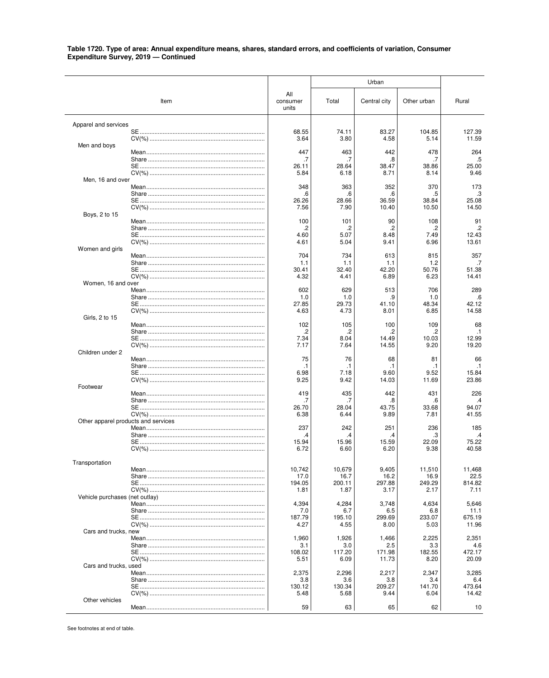|                                     |      |                          |                | Urban           |                 |                 |
|-------------------------------------|------|--------------------------|----------------|-----------------|-----------------|-----------------|
|                                     | Item | All<br>consumer<br>units | Total          | Central city    | Other urban     | Rural           |
| Apparel and services                |      |                          |                |                 |                 |                 |
|                                     |      | 68.55<br>3.64            | 74.11<br>3.80  | 83.27<br>4.58   | 104.85<br>5.14  | 127.39<br>11.59 |
| Men and boys                        |      |                          |                |                 |                 |                 |
|                                     |      | 447                      | 463            | 442             | 478             | 264             |
|                                     |      | .7<br>26.11              | .7<br>28.64    | .8<br>38.47     | .7<br>38.86     | .5<br>25.00     |
|                                     |      | 5.84                     | 6.18           | 8.71            | 8.14            | 9.46            |
| Men, 16 and over                    |      |                          |                |                 |                 |                 |
|                                     |      | 348                      | 363            | 352             | 370             | 173<br>.3       |
|                                     |      | .6<br>26.26              | .6<br>28.66    | .6<br>36.59     | .5<br>38.84     | 25.08           |
|                                     |      | 7.56                     | 7.90           | 10.40           | 10.50           | 14.50           |
| Boys, 2 to 15                       |      |                          |                |                 |                 |                 |
|                                     |      | 100<br>.2                | 101<br>.2      | 90<br>.2        | 108<br>.2       | 91<br>$\cdot$   |
|                                     |      | 4.60                     | 5.07           | 8.48            | 7.49            | 12.43           |
|                                     |      | 4.61                     | 5.04           | 9.41            | 6.96            | 13.61           |
| Women and girls                     |      |                          |                |                 |                 |                 |
|                                     |      | 704<br>1.1               | 734<br>1.1     | 613<br>1.1      | 815<br>1.2      | 357<br>.7       |
|                                     |      | 30.41                    | 32.40          | 42.20           | 50.76           | 51.38           |
|                                     |      | 4.32                     | 4.41           | 6.89            | 6.23            | 14.41           |
| Women, 16 and over                  |      |                          |                |                 |                 |                 |
|                                     |      | 602<br>1.0               | 629<br>1.0     | 513<br>.9       | 706<br>1.0      | 289<br>.6       |
|                                     |      | 27.85                    | 29.73          | 41.10           | 48.34           | 42.12           |
|                                     |      | 4.63                     | 4.73           | 8.01            | 6.85            | 14.58           |
| Girls, 2 to 15                      |      |                          |                |                 |                 |                 |
|                                     |      | 102<br>.2                | 105<br>.2      | 100<br>2.       | 109<br>.2       | 68<br>$\cdot$ 1 |
|                                     |      | 7.34                     | 8.04           | 14.49           | 10.03           | 12.99           |
|                                     |      | 7.17                     | 7.64           | 14.55           | 9.20            | 19.20           |
| Children under 2                    |      |                          |                |                 |                 |                 |
|                                     |      | 75<br>.1                 | 76<br>.1       | 68<br>$\cdot$ 1 | 81<br>$\cdot$ 1 | 66<br>$\cdot$ 1 |
|                                     |      | 6.98                     | 7.18           | 9.60            | 9.52            | 15.84           |
|                                     |      | 9.25                     | 9.42           | 14.03           | 11.69           | 23.86           |
| Footwear                            |      |                          |                |                 |                 |                 |
|                                     |      | 419<br>.7                | 435<br>.7      | 442<br>.8       | 431<br>.6       | 226<br>$\cdot$  |
|                                     |      | 26.70                    | 28.04          | 43.75           | 33.68           | 94.07           |
|                                     |      | 6.38                     | 6.44           | 9.89            | 7.81            | 41.55           |
| Other apparel products and services |      | 237                      | 242            | 251             | 236             | 185             |
|                                     |      | .4                       | .4             | .4              | З               | .4              |
|                                     |      | 15.94                    | 15.96          | 15.59           | 22.09           | 75.22           |
|                                     |      | 6.72                     | 6.60           | 6.20            | 9.38            | 40.58           |
| Transportation                      |      |                          |                |                 |                 |                 |
|                                     |      | 10,742                   | 10,679         | 9,405           | 11,510          | 11,468          |
|                                     |      | 17.0                     | 16.7           | 16.2            | 16.9            | 22.5            |
|                                     |      | 194.05                   | 200.11         | 297.88          | 249.29          | 814.82          |
| Vehicle purchases (net outlay)      |      | 1.81                     | 1.87           | 3.17            | 2.17            | 7.11            |
|                                     |      | 4,394                    | 4,284          | 3,748           | 4,634           | 5,646           |
|                                     |      | 7.0                      | 6.7            | 6.5             | 6.8             | 11.1            |
|                                     |      | 187.79                   | 195.10         | 299.69          | 233.07          | 675.19<br>11.96 |
| Cars and trucks, new                |      | 4.27                     | 4.55           | 8.00            | 5.03            |                 |
|                                     |      | 1,960                    | 1,926          | 1,466           | 2,225           | 2,351           |
|                                     |      | 3.1                      | 3.0            | 2.5             | 3.3             | 4.6             |
|                                     |      | 108.02<br>5.51           | 117.20<br>6.09 | 171.98<br>11.73 | 182.55<br>8.20  | 472.17<br>20.09 |
| Cars and trucks, used               |      |                          |                |                 |                 |                 |
|                                     |      | 2,375                    | 2,296          | 2,217           | 2,347           | 3,285           |
|                                     |      | 3.8                      | 3.6            | 3.8             | 3.4             | 6.4             |
|                                     |      | 130.12                   | 130.34         | 209.27<br>9.44  | 141.70          | 473.64<br>14.42 |
| Other vehicles                      |      | 5.48                     | 5.68           |                 | 6.04            |                 |
|                                     |      | 59                       | 63             | 65              | 62              | 10              |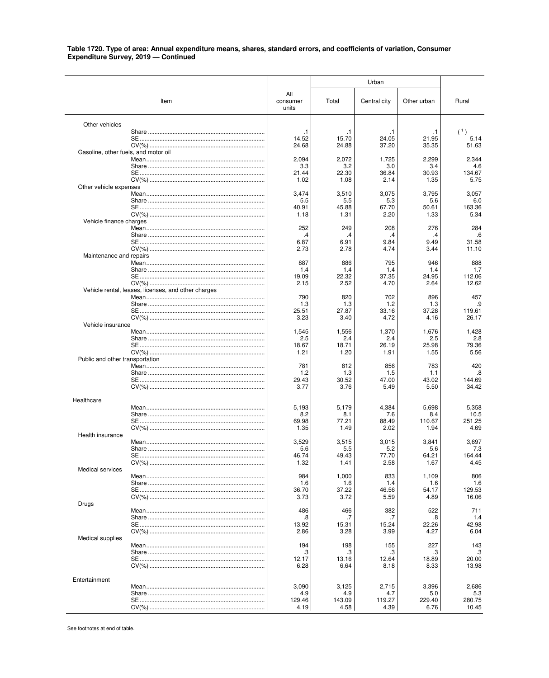|                                      |                                                     |                          |                | Urban          |                |                 |
|--------------------------------------|-----------------------------------------------------|--------------------------|----------------|----------------|----------------|-----------------|
|                                      | Item                                                | All<br>consumer<br>units | Total          | Central city   | Other urban    | Rural           |
| Other vehicles                       |                                                     |                          |                |                |                |                 |
|                                      |                                                     | .1                       | $\cdot$ 1      | $\cdot$ 1      | . 1            | (1)             |
|                                      |                                                     | 14.52<br>24.68           | 15.70<br>24.88 | 24.05<br>37.20 | 21.95<br>35.35 | 5.14<br>51.63   |
| Gasoline, other fuels, and motor oil |                                                     |                          |                |                |                |                 |
|                                      |                                                     | 2,094                    | 2,072          | 1,725          | 2,299          | 2,344           |
|                                      |                                                     | 3.3                      | 3.2            | 3.0            | 3.4            | 4.6             |
|                                      |                                                     | 21.44<br>1.02            | 22.30<br>1.08  | 36.84<br>2.14  | 30.93<br>1.35  | 134.67<br>5.75  |
| Other vehicle expenses               |                                                     |                          |                |                |                |                 |
|                                      |                                                     | 3,474                    | 3,510          | 3,075          | 3,795          | 3,057           |
|                                      |                                                     | 5.5                      | 5.5            | 5.3            | 5.6            | 6.0             |
|                                      |                                                     | 40.91<br>1.18            | 45.88<br>1.31  | 67.70<br>2.20  | 50.61<br>1.33  | 163.36<br>5.34  |
| Vehicle finance charges              |                                                     |                          |                |                |                |                 |
|                                      |                                                     | 252                      | 249            | 208            | 276            | 284             |
|                                      |                                                     | .4<br>6.87               | .4<br>6.91     | .4<br>9.84     | .4<br>9.49     | .6<br>31.58     |
|                                      |                                                     | 2.73                     | 2.78           | 4.74           | 3.44           | 11.10           |
| Maintenance and repairs              |                                                     |                          |                |                |                |                 |
|                                      |                                                     | 887                      | 886            | 795            | 946            | 888             |
|                                      |                                                     | 1.4<br>19.09             | 1.4<br>22.32   | 1.4<br>37.35   | 1.4<br>24.95   | 1.7<br>112.06   |
|                                      |                                                     | 2.15                     | 2.52           | 4.70           | 2.64           | 12.62           |
|                                      | Vehicle rental, leases, licenses, and other charges |                          |                |                |                |                 |
|                                      |                                                     | 790                      | 820            | 702            | 896            | 457             |
|                                      |                                                     | 1.3<br>25.51             | 1.3<br>27.87   | 1.2<br>33.16   | 1.3<br>37.28   | .9<br>119.61    |
|                                      |                                                     | 3.23                     | 3.40           | 4.72           | 4.16           | 26.17           |
| Vehicle insurance                    |                                                     |                          |                |                |                |                 |
|                                      |                                                     | 1,545                    | 1,556          | 1,370          | 1,676          | 1,428           |
|                                      |                                                     | 2.5<br>18.67             | 2.4<br>18.71   | 2.4<br>26.19   | 2.5<br>25.98   | 2.8<br>79.36    |
|                                      |                                                     | 1.21                     | 1.20           | 1.91           | 1.55           | 5.56            |
| Public and other transportation      |                                                     |                          |                |                |                |                 |
|                                      |                                                     | 781<br>1.2               | 812<br>1.3     | 856<br>1.5     | 783            | 420<br>.8       |
|                                      |                                                     | 29.43                    | 30.52          | 47.00          | 1.1<br>43.02   | 144.69          |
|                                      |                                                     | 3.77                     | 3.76           | 5.49           | 5.50           | 34.42           |
| Healthcare                           |                                                     |                          |                |                |                |                 |
|                                      |                                                     | 5,193                    | 5,179          | 4,384          | 5,698          | 5,358           |
|                                      |                                                     | 8.2                      | 8.1            | 7.6            | 8.4            | 10.5            |
|                                      |                                                     | 69.98                    | 77.21          | 88.49          | 110.67         | 251.25          |
| Health insurance                     |                                                     | 1.35                     | 1.49           | 2.02           | 1.94           | 4.69            |
|                                      |                                                     | 3,529                    | 3,515          | 3,015          | 3,841          | 3,697           |
|                                      |                                                     | 5.6                      | 5.5            | 5.2            | 5.6            | 7.3             |
|                                      |                                                     | 46.74<br>1.32            | 49.43<br>1.41  | 77.70<br>2.58  | 64.21<br>1.67  | 164.44<br>4.45  |
| Medical services                     |                                                     |                          |                |                |                |                 |
|                                      |                                                     | 984                      | 1,000          | 833            | 1,109          | 806             |
|                                      |                                                     | 1.6                      | 1.6            | 1.4            | 1.6            | 1.6             |
|                                      |                                                     | 36.70<br>3.73            | 37.22<br>3.72  | 46.56<br>5.59  | 54.17<br>4.89  | 129.53<br>16.06 |
| Drugs                                |                                                     |                          |                |                |                |                 |
|                                      |                                                     | 486                      | 466            | 382            | 522            | 711             |
|                                      |                                                     | .8                       | .7<br>15.31    | .7<br>15.24    | 8.<br>22.26    | 1.4<br>42.98    |
|                                      |                                                     | 13.92<br>2.86            | 3.28           | 3.99           | 4.27           | 6.04            |
| Medical supplies                     |                                                     |                          |                |                |                |                 |
|                                      |                                                     | 194                      | 198            | 155            | 227            | 143             |
|                                      |                                                     | .3<br>12.17              | .3<br>13.16    | .3<br>12.64    | .3<br>18.89    | .3<br>20.00     |
|                                      |                                                     | 6.28                     | 6.64           | 8.18           | 8.33           | 13.98           |
|                                      |                                                     |                          |                |                |                |                 |
| Entertainment                        |                                                     | 3,090                    | 3,125          | 2,715          | 3,396          | 2,686           |
|                                      |                                                     | 4.9                      | 4.9            | 4.7            | 5.0            | 5.3             |
|                                      |                                                     | 129.46                   | 143.09         | 119.27         | 229.40         | 280.75          |
|                                      |                                                     | 4.19                     | 4.58           | 4.39           | 6.76           | 10.45           |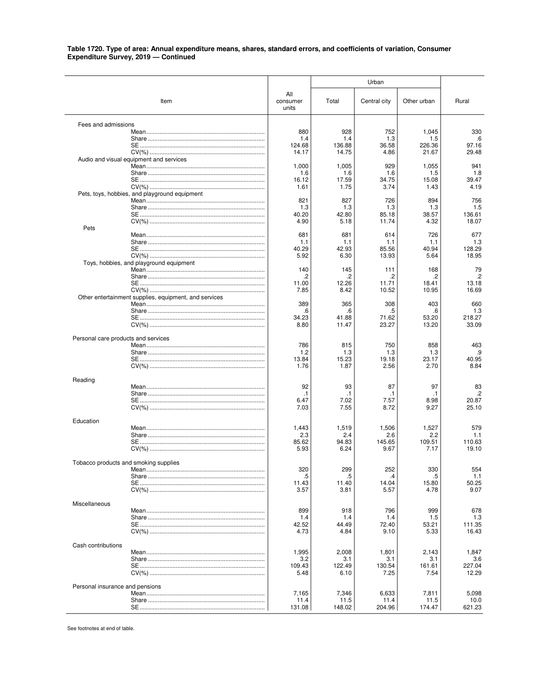| All<br>Item<br>consumer<br>Total<br>Central city<br>Other urban<br>Rural<br>units<br>Fees and admissions<br>880<br>928<br>752<br>330<br>1,045<br>1.4<br>1.4<br>1.3<br>1.5<br>.6<br>124.68<br>36.58<br>226.36<br>97.16<br>136.88<br>14.17<br>14.75<br>4.86<br>21.67<br>29.48<br>Audio and visual equipment and services<br>1,000<br>1,005<br>929<br>1,055<br>941<br>1.8<br>1.6<br>1.6<br>1.6<br>1.5<br>17.59<br>15.08<br>39.47<br>16.12<br>34.75<br>1.61<br>3.74<br>4.19<br>1.75<br>1.43<br>Pets, toys, hobbies, and playground equipment<br>821<br>827<br>726<br>894<br>756<br>1.5<br>1.3<br>1.3<br>1.3<br>1.3<br>40.20<br>42.80<br>85.18<br>38.57<br>136.61<br>4.90<br>5.18<br>11.74<br>4.32<br>18.07<br>Pets<br>681<br>726<br>677<br>681<br>614<br>1.3<br>1.1<br>1.1<br>1.1<br>1.1<br>42.93<br>40.94<br>128.29<br>40.29<br>85.56<br>18.95<br>5.92<br>6.30<br>13.93<br>5.64<br>Toys, hobbies, and playground equipment<br>140<br>145<br>168<br>79<br>111<br>.2<br>.2<br>.2<br>$\cdot$<br>.2<br>12.26<br>13.18<br>11.00<br>11.71<br>18.41<br>7.85<br>10.52<br>10.95<br>16.69<br>8.42<br>Other entertainment supplies, equipment, and services<br>389<br>365<br>308<br>660<br>403<br>1.3<br>.6<br>.6<br>.5<br>.6<br>34.23<br>41.88<br>53.20<br>218.27<br>71.62<br>11.47<br>23.27<br>33.09<br>8.80<br>13.20<br>Personal care products and services<br>786<br>815<br>750<br>858<br>463<br>1.2<br>1.3<br>.9<br>1.3<br>1.3<br>23.17<br>40.95<br>13.84<br>15.23<br>19.18<br>1.76<br>2.56<br>8.84<br>1.87<br>2.70<br>Reading<br>92<br>93<br>87<br>97<br>83<br>$\cdot$<br>$\cdot$ 1<br>$\cdot$ 1<br>.1<br>.1<br>6.47<br>7.02<br>7.57<br>8.98<br>20.87<br>25.10<br>7.03<br>8.72<br>9.27<br>7.55<br>Education<br>1,443<br>1,519<br>1,527<br>579<br>1,506<br>2.3<br>2.4<br>2.2<br>2.6<br>1.1<br>145.65<br>110.63<br>85.62<br>94.83<br>109.51<br>5.93<br>9.67<br>19.10<br>6.24<br>7.17<br>Tobacco products and smoking supplies<br>320<br>299<br>252<br>330<br>554<br>.5<br>.5<br>1.1<br>.4<br>.5<br>11.43<br>11.40<br>14.04<br>15.80<br>50.25<br>5.57<br>4.78<br>9.07<br>3.57<br>3.81<br>Miscellaneous<br>899<br>918<br>796<br>999<br>678<br>1.4<br>1.3<br>1.4<br>1.4<br>1.5<br>111.35<br>42.52<br>44.49<br>72.40<br>53.21<br>16.43<br>4.73<br>4.84<br>9.10<br>5.33<br>Cash contributions<br>1,995<br>2,008<br>1,801<br>2,143<br>1,847<br>3.2<br>3.6<br>3.1<br>3.1<br>3.1<br>109.43<br>122.49<br>227.04<br>130.54<br>161.61 |  |  | Urban |  |  |  |  |
|------------------------------------------------------------------------------------------------------------------------------------------------------------------------------------------------------------------------------------------------------------------------------------------------------------------------------------------------------------------------------------------------------------------------------------------------------------------------------------------------------------------------------------------------------------------------------------------------------------------------------------------------------------------------------------------------------------------------------------------------------------------------------------------------------------------------------------------------------------------------------------------------------------------------------------------------------------------------------------------------------------------------------------------------------------------------------------------------------------------------------------------------------------------------------------------------------------------------------------------------------------------------------------------------------------------------------------------------------------------------------------------------------------------------------------------------------------------------------------------------------------------------------------------------------------------------------------------------------------------------------------------------------------------------------------------------------------------------------------------------------------------------------------------------------------------------------------------------------------------------------------------------------------------------------------------------------------------------------------------------------------------------------------------------------------------------------------------------------------------------------------------------------------------------------------------------------------------------------------------------------------------------------------------------------------------------------------------------------------------------------------------------------------------|--|--|-------|--|--|--|--|
|                                                                                                                                                                                                                                                                                                                                                                                                                                                                                                                                                                                                                                                                                                                                                                                                                                                                                                                                                                                                                                                                                                                                                                                                                                                                                                                                                                                                                                                                                                                                                                                                                                                                                                                                                                                                                                                                                                                                                                                                                                                                                                                                                                                                                                                                                                                                                                                                                  |  |  |       |  |  |  |  |
|                                                                                                                                                                                                                                                                                                                                                                                                                                                                                                                                                                                                                                                                                                                                                                                                                                                                                                                                                                                                                                                                                                                                                                                                                                                                                                                                                                                                                                                                                                                                                                                                                                                                                                                                                                                                                                                                                                                                                                                                                                                                                                                                                                                                                                                                                                                                                                                                                  |  |  |       |  |  |  |  |
|                                                                                                                                                                                                                                                                                                                                                                                                                                                                                                                                                                                                                                                                                                                                                                                                                                                                                                                                                                                                                                                                                                                                                                                                                                                                                                                                                                                                                                                                                                                                                                                                                                                                                                                                                                                                                                                                                                                                                                                                                                                                                                                                                                                                                                                                                                                                                                                                                  |  |  |       |  |  |  |  |
|                                                                                                                                                                                                                                                                                                                                                                                                                                                                                                                                                                                                                                                                                                                                                                                                                                                                                                                                                                                                                                                                                                                                                                                                                                                                                                                                                                                                                                                                                                                                                                                                                                                                                                                                                                                                                                                                                                                                                                                                                                                                                                                                                                                                                                                                                                                                                                                                                  |  |  |       |  |  |  |  |
|                                                                                                                                                                                                                                                                                                                                                                                                                                                                                                                                                                                                                                                                                                                                                                                                                                                                                                                                                                                                                                                                                                                                                                                                                                                                                                                                                                                                                                                                                                                                                                                                                                                                                                                                                                                                                                                                                                                                                                                                                                                                                                                                                                                                                                                                                                                                                                                                                  |  |  |       |  |  |  |  |
|                                                                                                                                                                                                                                                                                                                                                                                                                                                                                                                                                                                                                                                                                                                                                                                                                                                                                                                                                                                                                                                                                                                                                                                                                                                                                                                                                                                                                                                                                                                                                                                                                                                                                                                                                                                                                                                                                                                                                                                                                                                                                                                                                                                                                                                                                                                                                                                                                  |  |  |       |  |  |  |  |
|                                                                                                                                                                                                                                                                                                                                                                                                                                                                                                                                                                                                                                                                                                                                                                                                                                                                                                                                                                                                                                                                                                                                                                                                                                                                                                                                                                                                                                                                                                                                                                                                                                                                                                                                                                                                                                                                                                                                                                                                                                                                                                                                                                                                                                                                                                                                                                                                                  |  |  |       |  |  |  |  |
|                                                                                                                                                                                                                                                                                                                                                                                                                                                                                                                                                                                                                                                                                                                                                                                                                                                                                                                                                                                                                                                                                                                                                                                                                                                                                                                                                                                                                                                                                                                                                                                                                                                                                                                                                                                                                                                                                                                                                                                                                                                                                                                                                                                                                                                                                                                                                                                                                  |  |  |       |  |  |  |  |
|                                                                                                                                                                                                                                                                                                                                                                                                                                                                                                                                                                                                                                                                                                                                                                                                                                                                                                                                                                                                                                                                                                                                                                                                                                                                                                                                                                                                                                                                                                                                                                                                                                                                                                                                                                                                                                                                                                                                                                                                                                                                                                                                                                                                                                                                                                                                                                                                                  |  |  |       |  |  |  |  |
|                                                                                                                                                                                                                                                                                                                                                                                                                                                                                                                                                                                                                                                                                                                                                                                                                                                                                                                                                                                                                                                                                                                                                                                                                                                                                                                                                                                                                                                                                                                                                                                                                                                                                                                                                                                                                                                                                                                                                                                                                                                                                                                                                                                                                                                                                                                                                                                                                  |  |  |       |  |  |  |  |
|                                                                                                                                                                                                                                                                                                                                                                                                                                                                                                                                                                                                                                                                                                                                                                                                                                                                                                                                                                                                                                                                                                                                                                                                                                                                                                                                                                                                                                                                                                                                                                                                                                                                                                                                                                                                                                                                                                                                                                                                                                                                                                                                                                                                                                                                                                                                                                                                                  |  |  |       |  |  |  |  |
|                                                                                                                                                                                                                                                                                                                                                                                                                                                                                                                                                                                                                                                                                                                                                                                                                                                                                                                                                                                                                                                                                                                                                                                                                                                                                                                                                                                                                                                                                                                                                                                                                                                                                                                                                                                                                                                                                                                                                                                                                                                                                                                                                                                                                                                                                                                                                                                                                  |  |  |       |  |  |  |  |
|                                                                                                                                                                                                                                                                                                                                                                                                                                                                                                                                                                                                                                                                                                                                                                                                                                                                                                                                                                                                                                                                                                                                                                                                                                                                                                                                                                                                                                                                                                                                                                                                                                                                                                                                                                                                                                                                                                                                                                                                                                                                                                                                                                                                                                                                                                                                                                                                                  |  |  |       |  |  |  |  |
|                                                                                                                                                                                                                                                                                                                                                                                                                                                                                                                                                                                                                                                                                                                                                                                                                                                                                                                                                                                                                                                                                                                                                                                                                                                                                                                                                                                                                                                                                                                                                                                                                                                                                                                                                                                                                                                                                                                                                                                                                                                                                                                                                                                                                                                                                                                                                                                                                  |  |  |       |  |  |  |  |
|                                                                                                                                                                                                                                                                                                                                                                                                                                                                                                                                                                                                                                                                                                                                                                                                                                                                                                                                                                                                                                                                                                                                                                                                                                                                                                                                                                                                                                                                                                                                                                                                                                                                                                                                                                                                                                                                                                                                                                                                                                                                                                                                                                                                                                                                                                                                                                                                                  |  |  |       |  |  |  |  |
|                                                                                                                                                                                                                                                                                                                                                                                                                                                                                                                                                                                                                                                                                                                                                                                                                                                                                                                                                                                                                                                                                                                                                                                                                                                                                                                                                                                                                                                                                                                                                                                                                                                                                                                                                                                                                                                                                                                                                                                                                                                                                                                                                                                                                                                                                                                                                                                                                  |  |  |       |  |  |  |  |
|                                                                                                                                                                                                                                                                                                                                                                                                                                                                                                                                                                                                                                                                                                                                                                                                                                                                                                                                                                                                                                                                                                                                                                                                                                                                                                                                                                                                                                                                                                                                                                                                                                                                                                                                                                                                                                                                                                                                                                                                                                                                                                                                                                                                                                                                                                                                                                                                                  |  |  |       |  |  |  |  |
|                                                                                                                                                                                                                                                                                                                                                                                                                                                                                                                                                                                                                                                                                                                                                                                                                                                                                                                                                                                                                                                                                                                                                                                                                                                                                                                                                                                                                                                                                                                                                                                                                                                                                                                                                                                                                                                                                                                                                                                                                                                                                                                                                                                                                                                                                                                                                                                                                  |  |  |       |  |  |  |  |
|                                                                                                                                                                                                                                                                                                                                                                                                                                                                                                                                                                                                                                                                                                                                                                                                                                                                                                                                                                                                                                                                                                                                                                                                                                                                                                                                                                                                                                                                                                                                                                                                                                                                                                                                                                                                                                                                                                                                                                                                                                                                                                                                                                                                                                                                                                                                                                                                                  |  |  |       |  |  |  |  |
|                                                                                                                                                                                                                                                                                                                                                                                                                                                                                                                                                                                                                                                                                                                                                                                                                                                                                                                                                                                                                                                                                                                                                                                                                                                                                                                                                                                                                                                                                                                                                                                                                                                                                                                                                                                                                                                                                                                                                                                                                                                                                                                                                                                                                                                                                                                                                                                                                  |  |  |       |  |  |  |  |
|                                                                                                                                                                                                                                                                                                                                                                                                                                                                                                                                                                                                                                                                                                                                                                                                                                                                                                                                                                                                                                                                                                                                                                                                                                                                                                                                                                                                                                                                                                                                                                                                                                                                                                                                                                                                                                                                                                                                                                                                                                                                                                                                                                                                                                                                                                                                                                                                                  |  |  |       |  |  |  |  |
|                                                                                                                                                                                                                                                                                                                                                                                                                                                                                                                                                                                                                                                                                                                                                                                                                                                                                                                                                                                                                                                                                                                                                                                                                                                                                                                                                                                                                                                                                                                                                                                                                                                                                                                                                                                                                                                                                                                                                                                                                                                                                                                                                                                                                                                                                                                                                                                                                  |  |  |       |  |  |  |  |
|                                                                                                                                                                                                                                                                                                                                                                                                                                                                                                                                                                                                                                                                                                                                                                                                                                                                                                                                                                                                                                                                                                                                                                                                                                                                                                                                                                                                                                                                                                                                                                                                                                                                                                                                                                                                                                                                                                                                                                                                                                                                                                                                                                                                                                                                                                                                                                                                                  |  |  |       |  |  |  |  |
|                                                                                                                                                                                                                                                                                                                                                                                                                                                                                                                                                                                                                                                                                                                                                                                                                                                                                                                                                                                                                                                                                                                                                                                                                                                                                                                                                                                                                                                                                                                                                                                                                                                                                                                                                                                                                                                                                                                                                                                                                                                                                                                                                                                                                                                                                                                                                                                                                  |  |  |       |  |  |  |  |
|                                                                                                                                                                                                                                                                                                                                                                                                                                                                                                                                                                                                                                                                                                                                                                                                                                                                                                                                                                                                                                                                                                                                                                                                                                                                                                                                                                                                                                                                                                                                                                                                                                                                                                                                                                                                                                                                                                                                                                                                                                                                                                                                                                                                                                                                                                                                                                                                                  |  |  |       |  |  |  |  |
|                                                                                                                                                                                                                                                                                                                                                                                                                                                                                                                                                                                                                                                                                                                                                                                                                                                                                                                                                                                                                                                                                                                                                                                                                                                                                                                                                                                                                                                                                                                                                                                                                                                                                                                                                                                                                                                                                                                                                                                                                                                                                                                                                                                                                                                                                                                                                                                                                  |  |  |       |  |  |  |  |
|                                                                                                                                                                                                                                                                                                                                                                                                                                                                                                                                                                                                                                                                                                                                                                                                                                                                                                                                                                                                                                                                                                                                                                                                                                                                                                                                                                                                                                                                                                                                                                                                                                                                                                                                                                                                                                                                                                                                                                                                                                                                                                                                                                                                                                                                                                                                                                                                                  |  |  |       |  |  |  |  |
|                                                                                                                                                                                                                                                                                                                                                                                                                                                                                                                                                                                                                                                                                                                                                                                                                                                                                                                                                                                                                                                                                                                                                                                                                                                                                                                                                                                                                                                                                                                                                                                                                                                                                                                                                                                                                                                                                                                                                                                                                                                                                                                                                                                                                                                                                                                                                                                                                  |  |  |       |  |  |  |  |
|                                                                                                                                                                                                                                                                                                                                                                                                                                                                                                                                                                                                                                                                                                                                                                                                                                                                                                                                                                                                                                                                                                                                                                                                                                                                                                                                                                                                                                                                                                                                                                                                                                                                                                                                                                                                                                                                                                                                                                                                                                                                                                                                                                                                                                                                                                                                                                                                                  |  |  |       |  |  |  |  |
|                                                                                                                                                                                                                                                                                                                                                                                                                                                                                                                                                                                                                                                                                                                                                                                                                                                                                                                                                                                                                                                                                                                                                                                                                                                                                                                                                                                                                                                                                                                                                                                                                                                                                                                                                                                                                                                                                                                                                                                                                                                                                                                                                                                                                                                                                                                                                                                                                  |  |  |       |  |  |  |  |
|                                                                                                                                                                                                                                                                                                                                                                                                                                                                                                                                                                                                                                                                                                                                                                                                                                                                                                                                                                                                                                                                                                                                                                                                                                                                                                                                                                                                                                                                                                                                                                                                                                                                                                                                                                                                                                                                                                                                                                                                                                                                                                                                                                                                                                                                                                                                                                                                                  |  |  |       |  |  |  |  |
|                                                                                                                                                                                                                                                                                                                                                                                                                                                                                                                                                                                                                                                                                                                                                                                                                                                                                                                                                                                                                                                                                                                                                                                                                                                                                                                                                                                                                                                                                                                                                                                                                                                                                                                                                                                                                                                                                                                                                                                                                                                                                                                                                                                                                                                                                                                                                                                                                  |  |  |       |  |  |  |  |
|                                                                                                                                                                                                                                                                                                                                                                                                                                                                                                                                                                                                                                                                                                                                                                                                                                                                                                                                                                                                                                                                                                                                                                                                                                                                                                                                                                                                                                                                                                                                                                                                                                                                                                                                                                                                                                                                                                                                                                                                                                                                                                                                                                                                                                                                                                                                                                                                                  |  |  |       |  |  |  |  |
|                                                                                                                                                                                                                                                                                                                                                                                                                                                                                                                                                                                                                                                                                                                                                                                                                                                                                                                                                                                                                                                                                                                                                                                                                                                                                                                                                                                                                                                                                                                                                                                                                                                                                                                                                                                                                                                                                                                                                                                                                                                                                                                                                                                                                                                                                                                                                                                                                  |  |  |       |  |  |  |  |
|                                                                                                                                                                                                                                                                                                                                                                                                                                                                                                                                                                                                                                                                                                                                                                                                                                                                                                                                                                                                                                                                                                                                                                                                                                                                                                                                                                                                                                                                                                                                                                                                                                                                                                                                                                                                                                                                                                                                                                                                                                                                                                                                                                                                                                                                                                                                                                                                                  |  |  |       |  |  |  |  |
|                                                                                                                                                                                                                                                                                                                                                                                                                                                                                                                                                                                                                                                                                                                                                                                                                                                                                                                                                                                                                                                                                                                                                                                                                                                                                                                                                                                                                                                                                                                                                                                                                                                                                                                                                                                                                                                                                                                                                                                                                                                                                                                                                                                                                                                                                                                                                                                                                  |  |  |       |  |  |  |  |
|                                                                                                                                                                                                                                                                                                                                                                                                                                                                                                                                                                                                                                                                                                                                                                                                                                                                                                                                                                                                                                                                                                                                                                                                                                                                                                                                                                                                                                                                                                                                                                                                                                                                                                                                                                                                                                                                                                                                                                                                                                                                                                                                                                                                                                                                                                                                                                                                                  |  |  |       |  |  |  |  |
|                                                                                                                                                                                                                                                                                                                                                                                                                                                                                                                                                                                                                                                                                                                                                                                                                                                                                                                                                                                                                                                                                                                                                                                                                                                                                                                                                                                                                                                                                                                                                                                                                                                                                                                                                                                                                                                                                                                                                                                                                                                                                                                                                                                                                                                                                                                                                                                                                  |  |  |       |  |  |  |  |
|                                                                                                                                                                                                                                                                                                                                                                                                                                                                                                                                                                                                                                                                                                                                                                                                                                                                                                                                                                                                                                                                                                                                                                                                                                                                                                                                                                                                                                                                                                                                                                                                                                                                                                                                                                                                                                                                                                                                                                                                                                                                                                                                                                                                                                                                                                                                                                                                                  |  |  |       |  |  |  |  |
|                                                                                                                                                                                                                                                                                                                                                                                                                                                                                                                                                                                                                                                                                                                                                                                                                                                                                                                                                                                                                                                                                                                                                                                                                                                                                                                                                                                                                                                                                                                                                                                                                                                                                                                                                                                                                                                                                                                                                                                                                                                                                                                                                                                                                                                                                                                                                                                                                  |  |  |       |  |  |  |  |
|                                                                                                                                                                                                                                                                                                                                                                                                                                                                                                                                                                                                                                                                                                                                                                                                                                                                                                                                                                                                                                                                                                                                                                                                                                                                                                                                                                                                                                                                                                                                                                                                                                                                                                                                                                                                                                                                                                                                                                                                                                                                                                                                                                                                                                                                                                                                                                                                                  |  |  |       |  |  |  |  |
|                                                                                                                                                                                                                                                                                                                                                                                                                                                                                                                                                                                                                                                                                                                                                                                                                                                                                                                                                                                                                                                                                                                                                                                                                                                                                                                                                                                                                                                                                                                                                                                                                                                                                                                                                                                                                                                                                                                                                                                                                                                                                                                                                                                                                                                                                                                                                                                                                  |  |  |       |  |  |  |  |
|                                                                                                                                                                                                                                                                                                                                                                                                                                                                                                                                                                                                                                                                                                                                                                                                                                                                                                                                                                                                                                                                                                                                                                                                                                                                                                                                                                                                                                                                                                                                                                                                                                                                                                                                                                                                                                                                                                                                                                                                                                                                                                                                                                                                                                                                                                                                                                                                                  |  |  |       |  |  |  |  |
|                                                                                                                                                                                                                                                                                                                                                                                                                                                                                                                                                                                                                                                                                                                                                                                                                                                                                                                                                                                                                                                                                                                                                                                                                                                                                                                                                                                                                                                                                                                                                                                                                                                                                                                                                                                                                                                                                                                                                                                                                                                                                                                                                                                                                                                                                                                                                                                                                  |  |  |       |  |  |  |  |
|                                                                                                                                                                                                                                                                                                                                                                                                                                                                                                                                                                                                                                                                                                                                                                                                                                                                                                                                                                                                                                                                                                                                                                                                                                                                                                                                                                                                                                                                                                                                                                                                                                                                                                                                                                                                                                                                                                                                                                                                                                                                                                                                                                                                                                                                                                                                                                                                                  |  |  |       |  |  |  |  |
|                                                                                                                                                                                                                                                                                                                                                                                                                                                                                                                                                                                                                                                                                                                                                                                                                                                                                                                                                                                                                                                                                                                                                                                                                                                                                                                                                                                                                                                                                                                                                                                                                                                                                                                                                                                                                                                                                                                                                                                                                                                                                                                                                                                                                                                                                                                                                                                                                  |  |  |       |  |  |  |  |
|                                                                                                                                                                                                                                                                                                                                                                                                                                                                                                                                                                                                                                                                                                                                                                                                                                                                                                                                                                                                                                                                                                                                                                                                                                                                                                                                                                                                                                                                                                                                                                                                                                                                                                                                                                                                                                                                                                                                                                                                                                                                                                                                                                                                                                                                                                                                                                                                                  |  |  |       |  |  |  |  |
|                                                                                                                                                                                                                                                                                                                                                                                                                                                                                                                                                                                                                                                                                                                                                                                                                                                                                                                                                                                                                                                                                                                                                                                                                                                                                                                                                                                                                                                                                                                                                                                                                                                                                                                                                                                                                                                                                                                                                                                                                                                                                                                                                                                                                                                                                                                                                                                                                  |  |  |       |  |  |  |  |
|                                                                                                                                                                                                                                                                                                                                                                                                                                                                                                                                                                                                                                                                                                                                                                                                                                                                                                                                                                                                                                                                                                                                                                                                                                                                                                                                                                                                                                                                                                                                                                                                                                                                                                                                                                                                                                                                                                                                                                                                                                                                                                                                                                                                                                                                                                                                                                                                                  |  |  |       |  |  |  |  |
| 12.29<br>5.48<br>6.10<br>7.25<br>7.54                                                                                                                                                                                                                                                                                                                                                                                                                                                                                                                                                                                                                                                                                                                                                                                                                                                                                                                                                                                                                                                                                                                                                                                                                                                                                                                                                                                                                                                                                                                                                                                                                                                                                                                                                                                                                                                                                                                                                                                                                                                                                                                                                                                                                                                                                                                                                                            |  |  |       |  |  |  |  |
| Personal insurance and pensions                                                                                                                                                                                                                                                                                                                                                                                                                                                                                                                                                                                                                                                                                                                                                                                                                                                                                                                                                                                                                                                                                                                                                                                                                                                                                                                                                                                                                                                                                                                                                                                                                                                                                                                                                                                                                                                                                                                                                                                                                                                                                                                                                                                                                                                                                                                                                                                  |  |  |       |  |  |  |  |
| 7,165<br>7,346<br>6,633<br>7,811<br>5,098                                                                                                                                                                                                                                                                                                                                                                                                                                                                                                                                                                                                                                                                                                                                                                                                                                                                                                                                                                                                                                                                                                                                                                                                                                                                                                                                                                                                                                                                                                                                                                                                                                                                                                                                                                                                                                                                                                                                                                                                                                                                                                                                                                                                                                                                                                                                                                        |  |  |       |  |  |  |  |
| 11.5<br>11.4<br>11.5<br>11.4<br>10.0<br>131.08<br>148.02<br>204.96<br>174.47<br>621.23                                                                                                                                                                                                                                                                                                                                                                                                                                                                                                                                                                                                                                                                                                                                                                                                                                                                                                                                                                                                                                                                                                                                                                                                                                                                                                                                                                                                                                                                                                                                                                                                                                                                                                                                                                                                                                                                                                                                                                                                                                                                                                                                                                                                                                                                                                                           |  |  |       |  |  |  |  |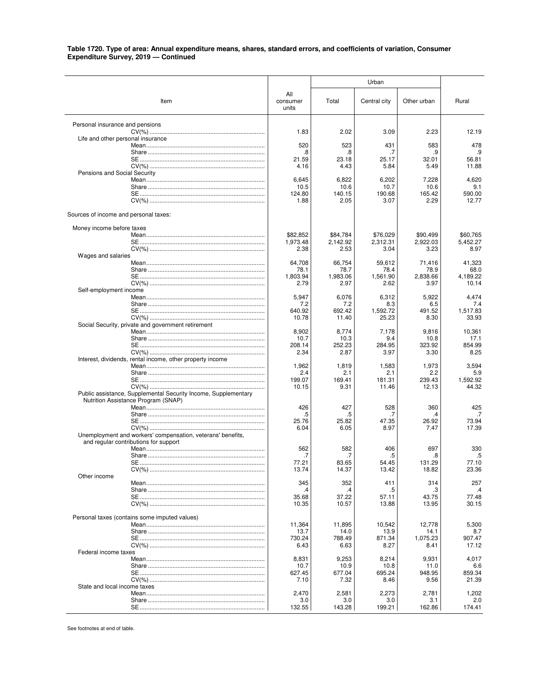|                                                                |                          |                  | Urban            |                  |                   |
|----------------------------------------------------------------|--------------------------|------------------|------------------|------------------|-------------------|
| Item                                                           | All<br>consumer<br>units | Total            | Central city     | Other urban      | Rural             |
| Personal insurance and pensions                                |                          |                  |                  |                  |                   |
| Life and other personal insurance                              | 1.83                     | 2.02             | 3.09             | 2.23             | 12.19             |
|                                                                | 520                      | 523              | 431              | 583              | 478               |
|                                                                | 8.<br>21.59              | .8<br>23.18      | .7<br>25.17      | .9<br>32.01      | .9<br>56.81       |
|                                                                | 4.16                     | 4.43             | 5.84             | 5.49             | 11.88             |
| Pensions and Social Security                                   | 6,645                    | 6,822            | 6,202            | 7,228            | 4,620             |
|                                                                | 10.5                     | 10.6             | 10.7             | 10.6             | 9.1               |
|                                                                | 124.80<br>1.88           | 140.15<br>2.05   | 190.68<br>3.07   | 165.42<br>2.29   | 590.00<br>12.77   |
|                                                                |                          |                  |                  |                  |                   |
| Sources of income and personal taxes:                          |                          |                  |                  |                  |                   |
| Money income before taxes                                      | \$82,852                 | \$84,784         | \$76,029         | \$90,499         | \$60,765          |
|                                                                | 1,973.48                 | 2,142.92         | 2,312.31         | 2,922.03         | 5,452.27          |
|                                                                | 2.38                     | 2.53             | 3.04             | 3.23             | 8.97              |
| Wages and salaries                                             | 64,708                   | 66,754           | 59,612           | 71,416           | 41,323            |
|                                                                | 78.1                     | 78.7             | 78.4             | 78.9             | 68.0              |
|                                                                | 1,803.94<br>2.79         | 1.983.06<br>2.97 | 1,561.90<br>2.62 | 2,838.66<br>3.97 | 4,189.22<br>10.14 |
| Self-employment income                                         |                          |                  |                  |                  |                   |
|                                                                | 5,947                    | 6,076            | 6,312            | 5,922            | 4,474             |
|                                                                | 7.2<br>640.92            | 7.2<br>692.42    | 8.3<br>1,592.72  | 6.5<br>491.52    | 7.4<br>1,517.83   |
|                                                                | 10.78                    | 11.40            | 25.23            | 8.30             | 33.93             |
| Social Security, private and government retirement             | 8,902                    | 8,774            |                  |                  |                   |
|                                                                | 10.7                     | 10.3             | 7,178<br>9.4     | 9,816<br>10.8    | 10,361<br>17.1    |
|                                                                | 208.14                   | 252.23           | 284.95           | 323.92           | 854.99            |
| Interest, dividends, rental income, other property income      | 2.34                     | 2.87             | 3.97             | 3.30             | 8.25              |
|                                                                | 1,962                    | 1,819            | 1,583            | 1,973            | 3,594             |
|                                                                | 2.4                      | 2.1              | 2.1              | 2.2              | 5.9               |
|                                                                | 199.07<br>10.15          | 169.41<br>9.31   | 181.31<br>11.46  | 239.43<br>12.13  | 1,592.92<br>44.32 |
| Public assistance, Supplemental Security Income, Supplementary |                          |                  |                  |                  |                   |
| Nutrition Assistance Program (SNAP)                            |                          |                  |                  |                  |                   |
|                                                                | 426<br>.5                | 427<br>.5        | 528<br>.7        | 360<br>.4        | 425<br>.7         |
|                                                                | 25.76                    | 25.82            | 47.35            | 26.92            | 73.94             |
| Unemployment and workers' compensation, veterans' benefits,    | 6.04                     | 6.05             | 8.97             | 7.47             | 17.39             |
| and regular contributions for support                          | 562                      | 582              | 406              | 697              | 330               |
| Share                                                          | .7                       | 7.               | 5                | 8.               | .5                |
|                                                                | 77.21                    | 83.65            | 54.45            | 131.29           | 77.10             |
| Other income                                                   | 13.74                    | 14.37            | 13.42            | 18.82            | 23.36             |
|                                                                | 345                      | 352              | 411              | 314              | 257               |
|                                                                | .4                       | .4               | .5               | .3               | .4                |
|                                                                | 35.68<br>10.35           | 37.22<br>10.57   | 57.11<br>13.88   | 43.75<br>13.95   | 77.48<br>30.15    |
|                                                                |                          |                  |                  |                  |                   |
| Personal taxes (contains some imputed values)                  | 11,364                   | 11,895           | 10.542           | 12.778           | 5,300             |
|                                                                | 13.7                     | 14.0             | 13.9             | 14.1             | 8.7               |
|                                                                | 730.24<br>6.43           | 788.49           | 871.34           | 1,075.23<br>8.41 | 907.47<br>17.12   |
| Federal income taxes                                           |                          | 6.63             | 8.27             |                  |                   |
|                                                                | 8,831                    | 9,253            | 8,214            | 9,931            | 4,017             |
|                                                                | 10.7<br>627.45           | 10.9<br>677.04   | 10.8<br>695.24   | 11.0<br>948.95   | 6.6<br>859.34     |
|                                                                | 7.10                     | 7.32             | 8.46             | 9.56             | 21.39             |
| State and local income taxes                                   |                          |                  |                  |                  |                   |
|                                                                | 2,470<br>3.0             | 2,581<br>3.0     | 2,273<br>3.0     | 2,781<br>3.1     | 1,202<br>2.0      |
|                                                                | 132.55                   | 143.28           | 199.21           | 162.86           | 174.41            |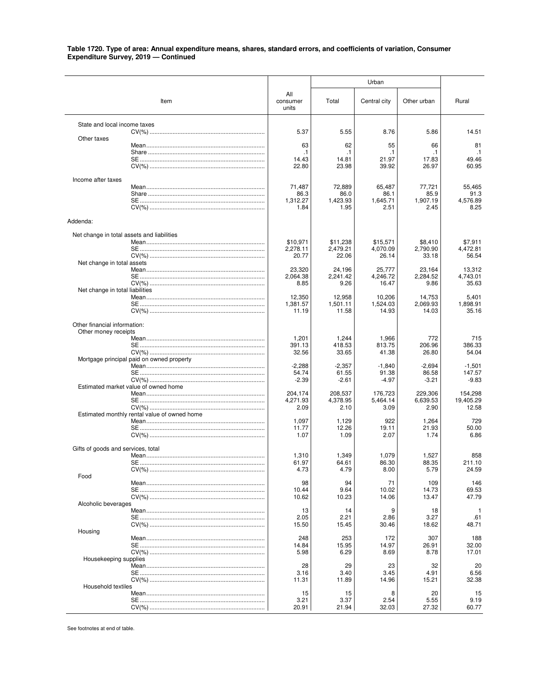|                                    |                                              |                          |                     | Urban               |                     |                    |
|------------------------------------|----------------------------------------------|--------------------------|---------------------|---------------------|---------------------|--------------------|
|                                    | Item                                         | All<br>consumer<br>units | Total               | Central city        | Other urban         | Rural              |
| State and local income taxes       |                                              |                          |                     |                     |                     |                    |
| Other taxes                        |                                              | 5.37                     | 5.55                | 8.76                | 5.86                | 14.51              |
|                                    |                                              | 63                       | 62                  | 55                  | 66                  | 81                 |
|                                    |                                              | .1<br>14.43              | $\cdot$ 1<br>14.81  | $\cdot$ 1<br>21.97  | .1<br>17.83         | $\cdot$ 1<br>49.46 |
|                                    |                                              | 22.80                    | 23.98               | 39.92               | 26.97               | 60.95              |
| Income after taxes                 |                                              |                          |                     |                     |                     |                    |
|                                    |                                              | 71,487                   | 72,889              | 65,487              | 77,721              | 55.465             |
|                                    |                                              | 86.3<br>1,312.27         | 86.0<br>1,423.93    | 86.1<br>1,645.71    | 85.9<br>1,907.19    | 91.3<br>4,576.89   |
|                                    |                                              | 1.84                     | 1.95                | 2.51                | 2.45                | 8.25               |
| Addenda:                           |                                              |                          |                     |                     |                     |                    |
|                                    | Net change in total assets and liabilities   |                          |                     |                     |                     |                    |
|                                    |                                              | \$10,971                 | \$11.238            | \$15,571            | \$8,410             | \$7,911            |
|                                    |                                              | 2,278.11                 | 2.479.21            | 4,070.09            | 2,790.90            | 4.472.81           |
| Net change in total assets         |                                              | 20.77                    | 22.06               | 26.14               | 33.18               | 56.54              |
|                                    |                                              | 23,320                   | 24,196              | 25,777              | 23,164              | 13,312             |
|                                    |                                              | 2,064.38                 | 2,241.42            | 4,246.72            | 2,284.52            | 4,743.01           |
|                                    |                                              | 8.85                     | 9.26                | 16.47               | 9.86                | 35.63              |
| Net change in total liabilities    |                                              | 12,350                   | 12,958              | 10,206              | 14,753              | 5,401              |
|                                    |                                              | 1,381.57                 | 1,501.11            | 1,524.03            | 2,069.93            | 1,898.91           |
|                                    |                                              | 11.19                    | 11.58               | 14.93               | 14.03               | 35.16              |
| Other financial information:       |                                              |                          |                     |                     |                     |                    |
| Other money receipts               |                                              | 1,201                    | 1,244               | 1,966               | 772                 | 715                |
|                                    |                                              | 391.13                   | 418.53              | 813.75              | 206.96              | 386.33             |
|                                    |                                              | 32.56                    | 33.65               | 41.38               | 26.80               | 54.04              |
|                                    | Mortgage principal paid on owned property    |                          |                     |                     |                     |                    |
|                                    |                                              | $-2,288$<br>54.74        | $-2,357$<br>61.55   | $-1,840$<br>91.38   | $-2,694$<br>86.58   | $-1,501$<br>147.57 |
|                                    |                                              | $-2.39$                  | $-2.61$             | $-4.97$             | $-3.21$             | $-9.83$            |
|                                    | Estimated market value of owned home         |                          |                     |                     |                     |                    |
|                                    |                                              | 204,174<br>4,271.93      | 208,537<br>4,378.95 | 176,723<br>5,464.14 | 229,306<br>6,639.53 | 154,298            |
|                                    |                                              | 2.09                     | 2.10                | 3.09                | 2.90                | 19,405.29<br>12.58 |
|                                    | Estimated monthly rental value of owned home |                          |                     |                     |                     |                    |
|                                    |                                              | 1,097                    | 1,129               | 922                 | 1,264               | 729                |
|                                    |                                              | 11.77                    | 12.26               | 19.11               | 21.93               | 50.00<br>6.86      |
|                                    |                                              | 1.07                     | 1.09                | 2.07                | 1.74                |                    |
| Gifts of goods and services, total |                                              |                          |                     |                     |                     |                    |
|                                    |                                              | 1,310                    | 1,349               | 1,079               | 1,527               | 858                |
|                                    |                                              | 61.97<br>4.73            | 64.61<br>4.79       | 86.30<br>8.00       | 88.35<br>5.79       | 211.10<br>24.59    |
| Food                               |                                              |                          |                     |                     |                     |                    |
|                                    |                                              | 98                       | 94                  | 71                  | 109                 | 146                |
|                                    |                                              | 10.44<br>10.62           | 9.64<br>10.23       | 10.02<br>14.06      | 14.73<br>13.47      | 69.53<br>47.79     |
| Alcoholic beverages                |                                              |                          |                     |                     |                     |                    |
|                                    |                                              | 13                       | 14                  | 9                   | 18                  | -1                 |
|                                    |                                              | 2.05                     | 2.21                | 2.86                | 3.27                | .61                |
| Housing                            |                                              | 15.50                    | 15.45               | 30.46               | 18.62               | 48.71              |
|                                    |                                              | 248                      | 253                 | 172                 | 307                 | 188                |
|                                    |                                              | 14.84                    | 15.95               | 14.97               | 26.91               | 32.00              |
|                                    |                                              | 5.98                     | 6.29                | 8.69                | 8.78                | 17.01              |
| Housekeeping supplies              |                                              | 28                       | 29                  | 23                  | 32                  | 20                 |
|                                    |                                              | 3.16                     | 3.40                | 3.45                | 4.91                | 6.56               |
|                                    |                                              | 11.31                    | 11.89               | 14.96               | 15.21               | 32.38              |
| Household textiles                 |                                              |                          |                     |                     |                     |                    |
|                                    |                                              | 15<br>3.21               | 15<br>3.37          | 8<br>2.54           | 20<br>5.55          | 15<br>9.19         |
|                                    |                                              | 20.91                    | 21.94               | 32.03               | 27.32               | 60.77              |
|                                    |                                              |                          |                     |                     |                     |                    |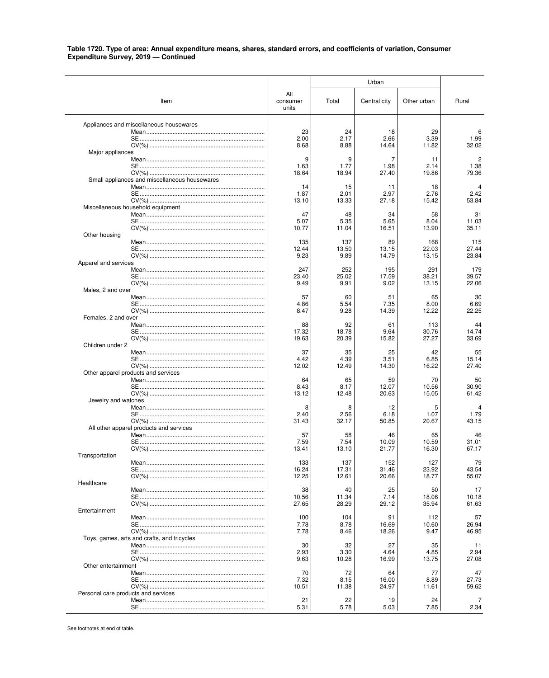|                                     |                                               |                          |               | Urban         |               |                |
|-------------------------------------|-----------------------------------------------|--------------------------|---------------|---------------|---------------|----------------|
|                                     | Item                                          | All<br>consumer<br>units | Total         | Central city  | Other urban   | Rural          |
|                                     | Appliances and miscellaneous housewares       |                          |               |               |               |                |
|                                     |                                               | 23<br>2.00               | 24<br>2.17    | 18<br>2.66    | 29<br>3.39    | 6<br>1.99      |
|                                     |                                               | 8.68                     | 8.88          | 14.64         | 11.82         | 32.02          |
| Major appliances                    |                                               |                          |               |               |               |                |
|                                     |                                               | 9                        | 9             | 7             | 11            | $\overline{c}$ |
|                                     |                                               | 1.63<br>18.64            | 1.77<br>18.94 | 1.98<br>27.40 | 2.14<br>19.86 | 1.38<br>79.36  |
|                                     | Small appliances and miscellaneous housewares |                          |               |               |               |                |
|                                     |                                               | 14                       | 15            | -11           | 18            | 4              |
|                                     |                                               | 1.87<br>13.10            | 2.01<br>13.33 | 2.97<br>27.18 | 2.76<br>15.42 | 2.42<br>53.84  |
|                                     | Miscellaneous household equipment             |                          |               |               |               |                |
|                                     |                                               | 47                       | 48            | 34            | 58            | 31             |
|                                     |                                               | 5.07                     | 5.35          | 5.65          | 8.04          | 11.03          |
| Other housing                       |                                               | 10.77                    | 11.04         | 16.51         | 13.90         | 35.11          |
|                                     |                                               | 135                      | 137           | 89            | 168           | 115            |
|                                     |                                               | 12.44                    | 13.50         | 13.15         | 22.03         | 27.44          |
| Apparel and services                |                                               | 9.23                     | 9.89          | 14.79         | 13.15         | 23.84          |
|                                     |                                               | 247                      | 252           | 195           | 291           | 179            |
|                                     |                                               | 23.40                    | 25.02         | 17.59         | 38.21         | 39.57          |
| Males, 2 and over                   |                                               | 9.49                     | 9.91          | 9.02          | 13.15         | 22.06          |
|                                     |                                               | 57                       | 60            | 51            | 65            | 30             |
|                                     |                                               | 4.86                     | 5.54          | 7.35          | 8.00          | 6.69           |
| Females, 2 and over                 |                                               | 8.47                     | 9.28          | 14.39         | 12.22         | 22.25          |
|                                     |                                               | 88                       | 92            | 61            | 113           | 44             |
|                                     |                                               | 17.32                    | 18.78         | 9.64          | 30.76         | 14.74          |
|                                     |                                               | 19.63                    | 20.39         | 15.82         | 27.27         | 33.69          |
| Children under 2                    |                                               | 37                       | 35            | 25            | 42            | 55             |
|                                     |                                               | 4.42                     | 4.39          | 3.51          | 6.85          | 15.14          |
|                                     |                                               | 12.02                    | 12.49         | 14.30         | 16.22         | 27.40          |
|                                     | Other apparel products and services           | 64                       | 65            | 59            | 70            | 50             |
|                                     |                                               | 8.43                     | 8.17          | 12.07         | 10.56         | 30.90          |
|                                     |                                               | 13.12                    | 12.48         | 20.63         | 15.05         | 61.42          |
| Jewelry and watches                 |                                               | 8                        | 8             | 12            | 5             | 4              |
|                                     |                                               | 2.40                     | 2.56          | 6.18          | 1.07          | 1.79           |
|                                     |                                               | 31.43                    | 32.17         | 50.85         | 20.67         | 43.15          |
|                                     | All other apparel products and services       | 57                       | 58            | 46            | 65            | 46             |
|                                     |                                               | 7.59                     | 7.54          | 10.09         | 10.59         | 31.01          |
|                                     |                                               | 13.41                    | 13.10         | 21.77         | 16.30         | 67.17          |
| Transportation                      |                                               | 133                      | 137           | 152           | 127           | 79             |
|                                     |                                               | 16.24                    | 17.31         | 31.46         | 23.92         | 43.54          |
| Healthcare                          |                                               | 12.25                    | 12.61         | 20.66         | 18.77         | 55.07          |
|                                     |                                               | 38                       | 40            | 25            | 50            | 17             |
|                                     |                                               | 10.56                    | 11.34         | 7.14          | 18.06         | 10.18          |
| Entertainment                       |                                               | 27.65                    | 28.29         | 29.12         | 35.94         | 61.63          |
|                                     |                                               | 100                      | 104           | 91            | 112           | 57             |
|                                     |                                               | 7.78                     | 8.78          | 16.69         | 10.60         | 26.94          |
|                                     | Toys, games, arts and crafts, and tricycles   | 7.78                     | 8.46          | 18.26         | 9.47          | 46.95          |
|                                     |                                               | 30                       | 32            | 27            | 35            | 11             |
|                                     |                                               | 2.93                     | 3.30          | 4.64          | 4.85          | 2.94           |
| Other entertainment                 |                                               | 9.63                     | 10.28         | 16.99         | 13.75         | 27.08          |
|                                     |                                               | 70                       | 72            | 64            | 77            | 47             |
|                                     |                                               | 7.32                     | 8.15          | 16.00         | 8.89          | 27.73          |
| Personal care products and services |                                               | 10.51                    | 11.38         | 24.97         | 11.61         | 59.62          |
|                                     |                                               | 21                       | 22            | 19            | 24            |                |
|                                     |                                               | 5.31                     | 5.78          | 5.03          | 7.85          | 2.34           |